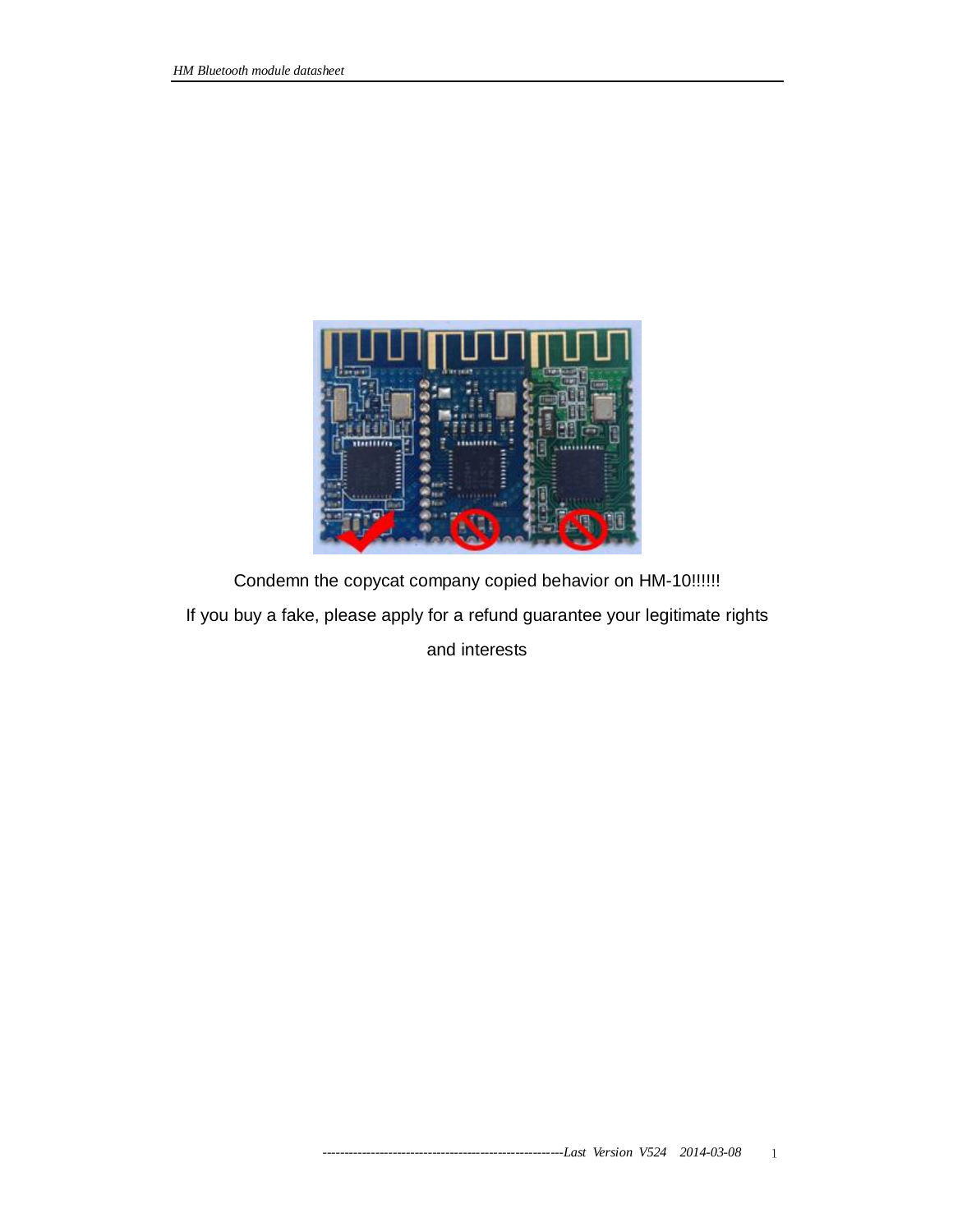

Condemn the copycat company copied behavior on HM-10!!!!!! If you buy a fake, please apply for a refund guarantee your legitimate rights

and interests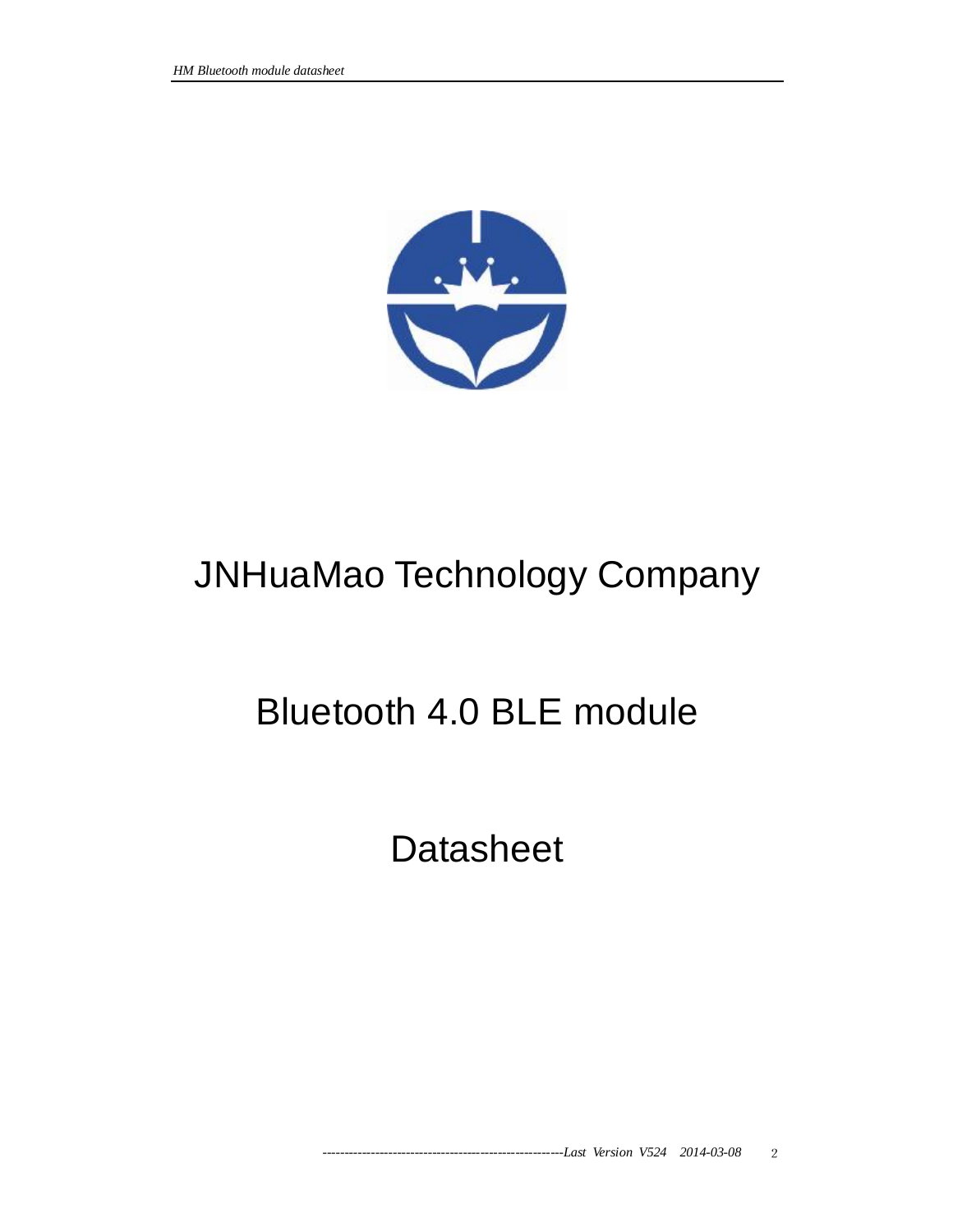

# JNHuaMao Technology Company

# Bluetooth 4.0 BLE module

**Datasheet** 

*-------------------------------------------------------Last Version V524 2014-03-08* 2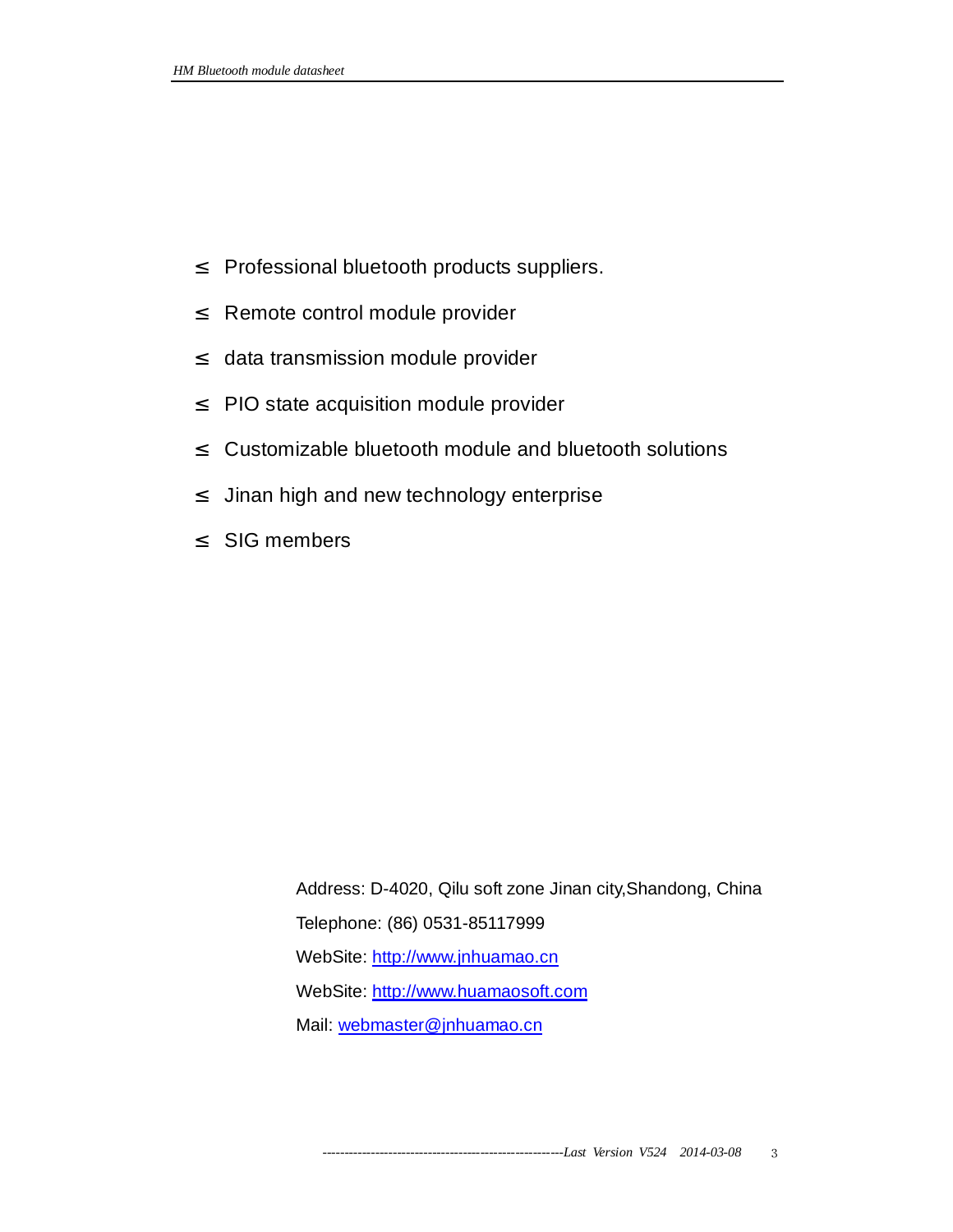- ² Professional bluetooth products suppliers.
- <sup>2</sup> Remote control module provider
- <sup>2</sup> data transmission module provider
- ² PIO state acquisition module provider
- ² Customizable bluetooth module and bluetooth solutions
- <sup>2</sup> Jinan high and new technology enterprise
- ² SIG members

Address: D-4020, Qilu soft zone Jinan city,Shandong, China Telephone: (86) 0531-85117999 WebSite: http://www.jnhuamao.cn WebSite:<http://www.huamaosoft.com> Mail: [webmaster@jnhuamao.cn](mailto:webmaster@jnhuamao.cn)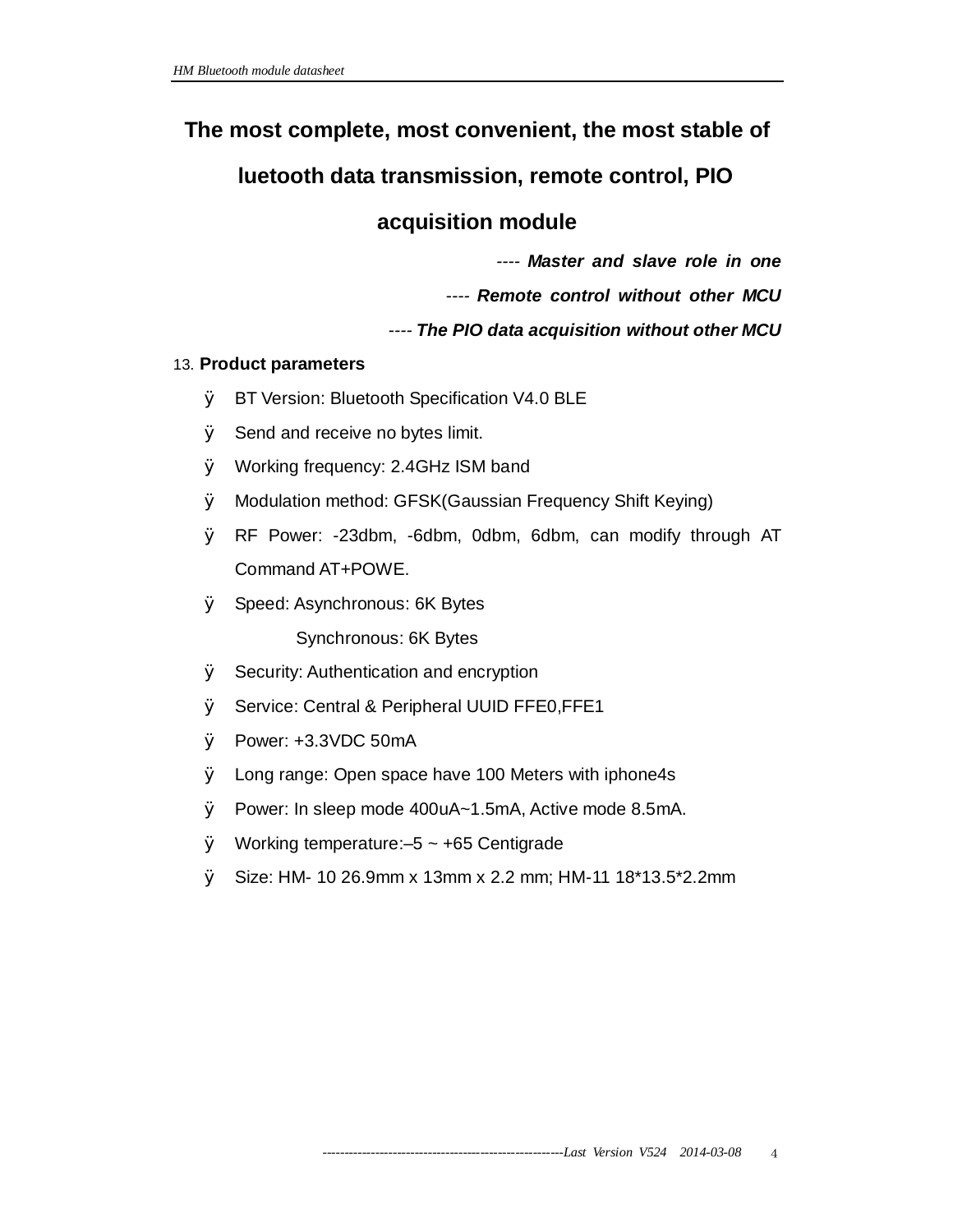# **The most complete, most convenient, the most stable of**

# **luetooth data transmission, remote control, PIO**

# **acquisition module**

*---- Master and slave role in one* 

*---- Remote control without other MCU* 

*---- The PIO data acquisition without other MCU* 

## 13. **Product parameters**

- Ø BT Version: Bluetooth Specification V4.0 BLE
- Ø Send and receive no bytes limit.
- Ø Working frequency: 2.4GHz ISM band
- Ø Modulation method: GFSK(Gaussian Frequency Shift Keying)
- Ø RF Power: -23dbm, -6dbm, 0dbm, 6dbm, can modify through AT Command AT+POWE.
- Ø Speed: Asynchronous: 6K Bytes

Synchronous: 6K Bytes

- Ø Security: Authentication and encryption
- Ø Service: Central & Peripheral UUID FFE0,FFE1
- Ø Power: +3.3VDC 50mA
- Ø Long range: Open space have 100 Meters with iphone4s
- Ø Power: In sleep mode 400uA~1.5mA, Active mode 8.5mA.
- $\emptyset$  Working temperature: -5 ~ +65 Centigrade
- Ø Size: HM- 10 26.9mm x 13mm x 2.2 mm; HM-11 18\*13.5\*2.2mm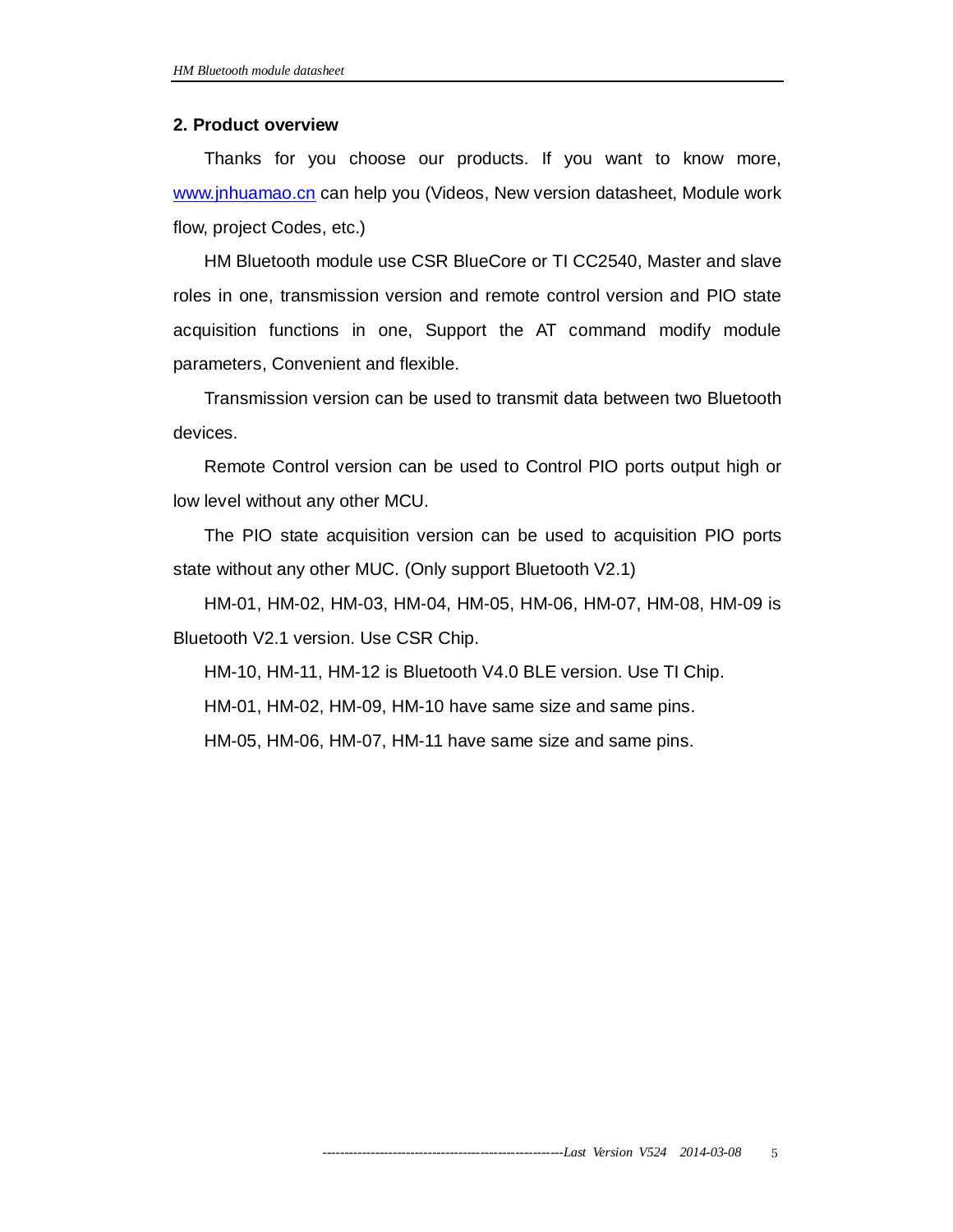#### **2. Product overview**

Thanks for you choose our products. If you want to know more, [www.jnhuamao.cn](http://www.jnhuamao.cn) can help you (Videos, New version datasheet, Module work flow, project Codes, etc.)

HM Bluetooth module use CSR BlueCore or TI CC2540, Master and slave roles in one, transmission version and remote control version and PIO state acquisition functions in one, Support the AT command modify module parameters, Convenient and flexible.

Transmission version can be used to transmit data between two Bluetooth devices.

Remote Control version can be used to Control PIO ports output high or low level without any other MCU.

The PIO state acquisition version can be used to acquisition PIO ports state without any other MUC. (Only support Bluetooth V2.1)

HM-01, HM-02, HM-03, HM-04, HM-05, HM-06, HM-07, HM-08, HM-09 is Bluetooth V2.1 version. Use CSR Chip.

HM-10, HM-11, HM-12 is Bluetooth V4.0 BLE version. Use TI Chip.

HM-01, HM-02, HM-09, HM-10 have same size and same pins.

HM-05, HM-06, HM-07, HM-11 have same size and same pins.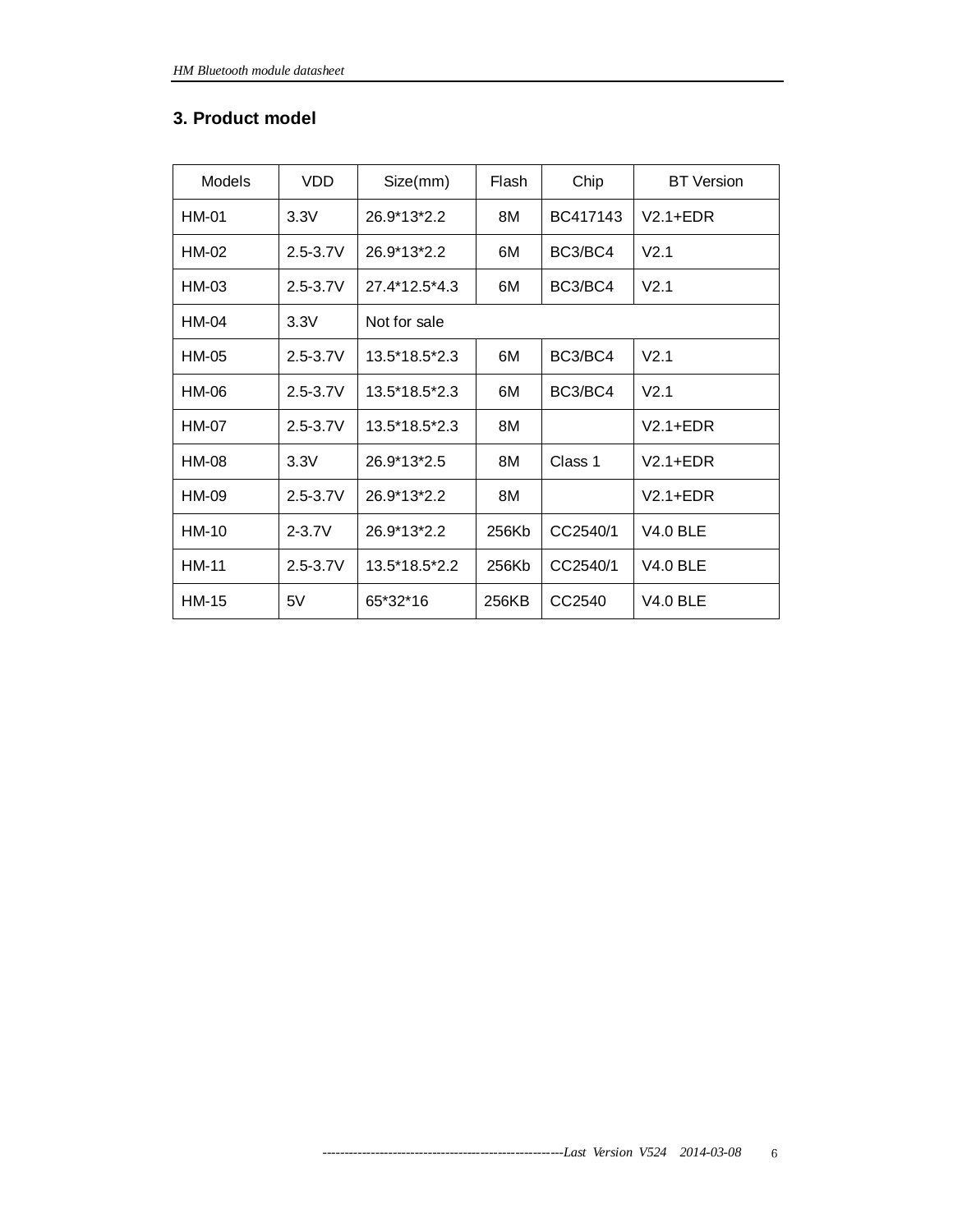### **3. Product model**

| Models       | <b>VDD</b>   | Size(mm)        | Flash | Chip     | <b>BT</b> Version |
|--------------|--------------|-----------------|-------|----------|-------------------|
| <b>HM-01</b> | 3.3V         | 26.9*13*2.2     | 8M    | BC417143 | $V2.1 + EDR$      |
| HM-02        | $2.5 - 3.7V$ | 26.9*13*2.2     | 6M    | BC3/BC4  | V <sub>2.1</sub>  |
| HM-03        | $2.5 - 3.7V$ | 27.4*12.5*4.3   | 6M    | BC3/BC4  | V <sub>2.1</sub>  |
| <b>HM-04</b> | 3.3V         | Not for sale    |       |          |                   |
| HM-05        | $2.5 - 3.7V$ | $13.5*18.5*2.3$ | 6M    | BC3/BC4  | V <sub>2.1</sub>  |
| HM-06        | $2.5 - 3.7V$ | 13.5*18.5*2.3   | 6M    | BC3/BC4  | V2.1              |
| <b>HM-07</b> | $2.5 - 3.7V$ | 13.5*18.5*2.3   | 8M    |          | $V2.1 + EDR$      |
| <b>HM-08</b> | 3.3V         | 26.9*13*2.5     | 8M    | Class 1  | $V2.1 + EDR$      |
| HM-09        | $2.5 - 3.7V$ | 26.9*13*2.2     | 8M    |          | $V2.1 + EDR$      |
| <b>HM-10</b> | $2 - 3.7V$   | 26.9*13*2.2     | 256Kb | CC2540/1 | <b>V4.0 BLE</b>   |
| <b>HM-11</b> | $2.5 - 3.7V$ | 13.5*18.5*2.2   | 256Kb | CC2540/1 | <b>V4.0 BLE</b>   |
| <b>HM-15</b> | 5V           | 65*32*16        | 256KB | CC2540   | <b>V4.0 BLE</b>   |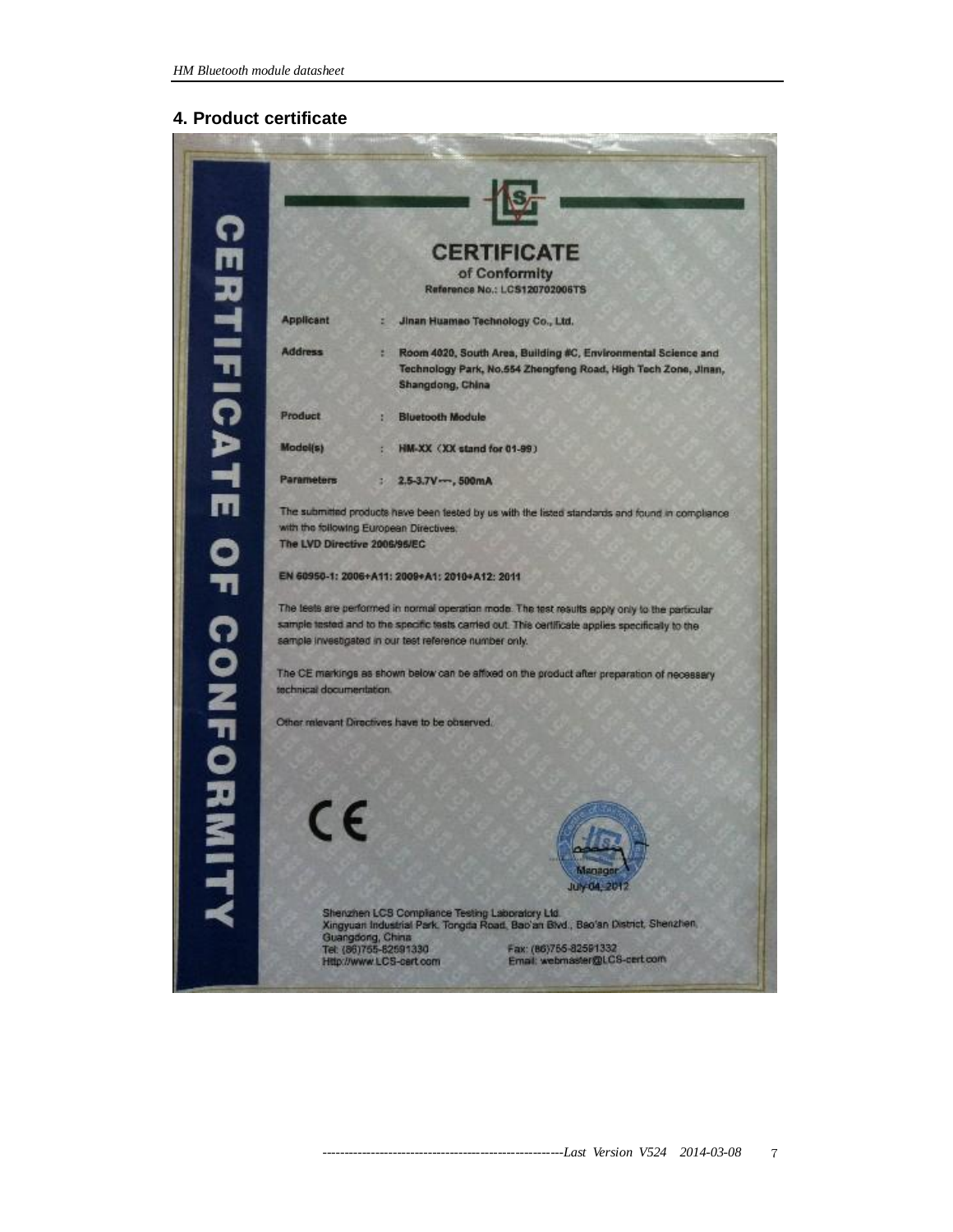#### **4. Product certificate**

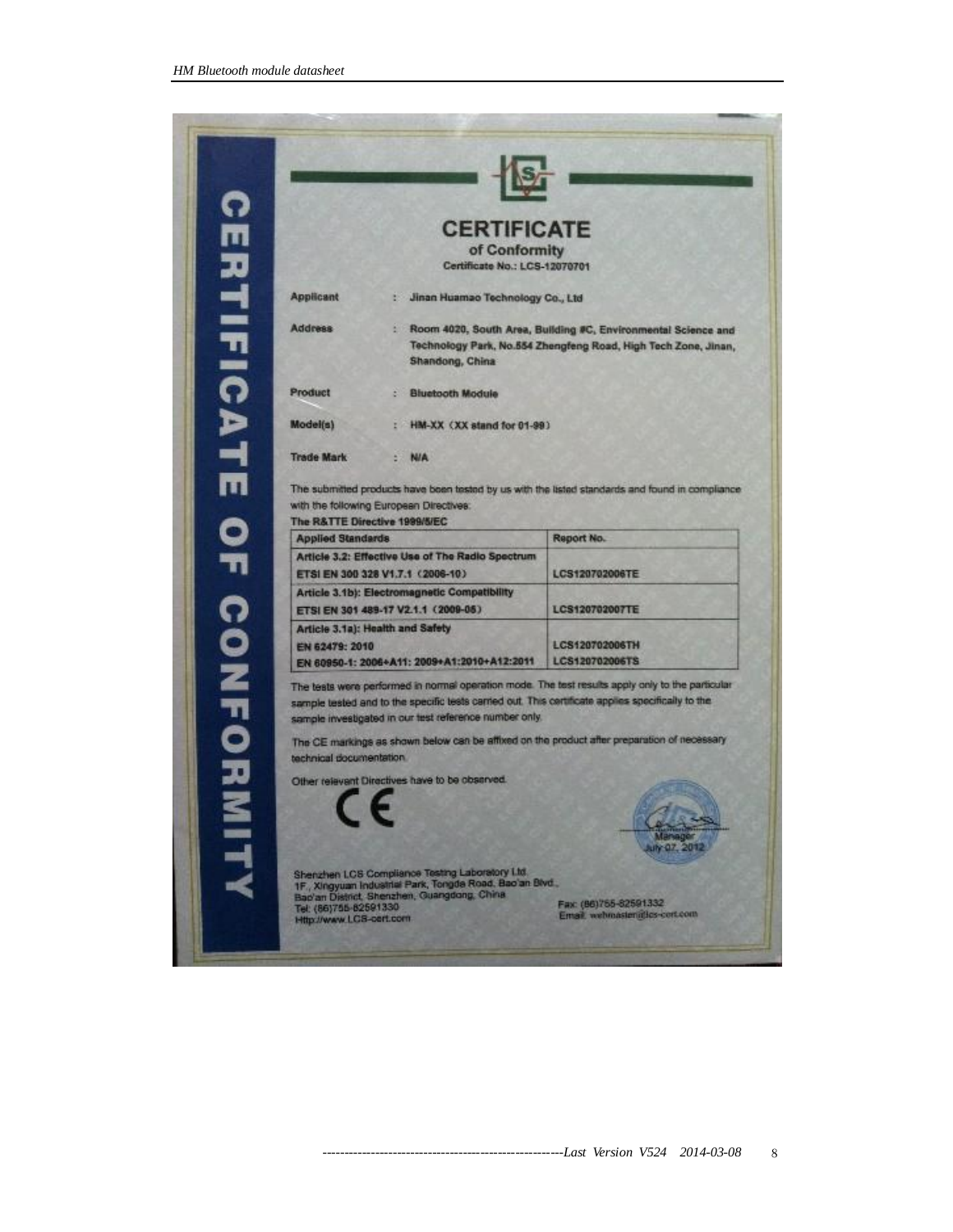| <b>CERTIFICATE</b>       |                                                                                                                                                                                                              |                                                                                                                                                                                                 |
|--------------------------|--------------------------------------------------------------------------------------------------------------------------------------------------------------------------------------------------------------|-------------------------------------------------------------------------------------------------------------------------------------------------------------------------------------------------|
|                          | <b>CERTIFICATE</b>                                                                                                                                                                                           |                                                                                                                                                                                                 |
|                          | of Conformity                                                                                                                                                                                                |                                                                                                                                                                                                 |
|                          | Certificate No.: LCS-12070701                                                                                                                                                                                |                                                                                                                                                                                                 |
| Applicant                | Jinan Huamao Technology Co., Ltd<br>t.                                                                                                                                                                       |                                                                                                                                                                                                 |
| <b>Address</b>           | ă.<br>Shandong, China                                                                                                                                                                                        | Room 4020, South Area, Building #C, Environmental Science and<br>Technology Park, No.554 Zhengfeng Road, High Tech Zone, Jinan,                                                                 |
| Product                  | <b>Bluetooth Module</b>                                                                                                                                                                                      |                                                                                                                                                                                                 |
| Model(s)                 | HM-XX (XX stand for 01-99)                                                                                                                                                                                   |                                                                                                                                                                                                 |
| <b>Trade Mark</b>        | <b>N/A</b><br>a.                                                                                                                                                                                             |                                                                                                                                                                                                 |
|                          |                                                                                                                                                                                                              | The submitted products have been tested by us with the listed standards and found in compliance                                                                                                 |
|                          | with the following European Directives:                                                                                                                                                                      |                                                                                                                                                                                                 |
|                          | The R&TTE Directive 1999/5/EC                                                                                                                                                                                |                                                                                                                                                                                                 |
| <b>Applied Standards</b> |                                                                                                                                                                                                              | Report No.                                                                                                                                                                                      |
|                          | Article 3.2: Effective Use of The Radio Spectrum<br>ETSI EN 300 328 V1.7.1 (2006-10)                                                                                                                         | LCS120702006TE                                                                                                                                                                                  |
|                          | Article 3.1b): Electromagnetic Compatibility<br>ETSI EN 301 489-17 V2.1.1 (2009-05)                                                                                                                          | LCS120702007TE                                                                                                                                                                                  |
| EN 62479: 2010           | Article 3.1a): Health and Safety<br>EN 60950-1: 2006+A11: 2009+A1:2010+A12:2011                                                                                                                              | LCS120702006TH<br>LCS120702006TS                                                                                                                                                                |
|                          | sample tested and to the specific tests carried out. This contricate applies specifically to the<br>sample investigated in our test reference number only.<br>Other relevant Directives have to be observed. | The tests were performed in normal operation mode. The test results apply only to the particular<br>The CE markings as shown below can be affixed on the product after preparation of necessary |
| technical documentation  | Shenzhen LCS Compliance Testing Laboratory Ltd.<br>1F., Xingyuan Industrial Park, Tongda Road, Bao'an Blvd.,                                                                                                 | uly 07, 20                                                                                                                                                                                      |

*-------------------------------------------------------Last Version V524 2014-03-08* 8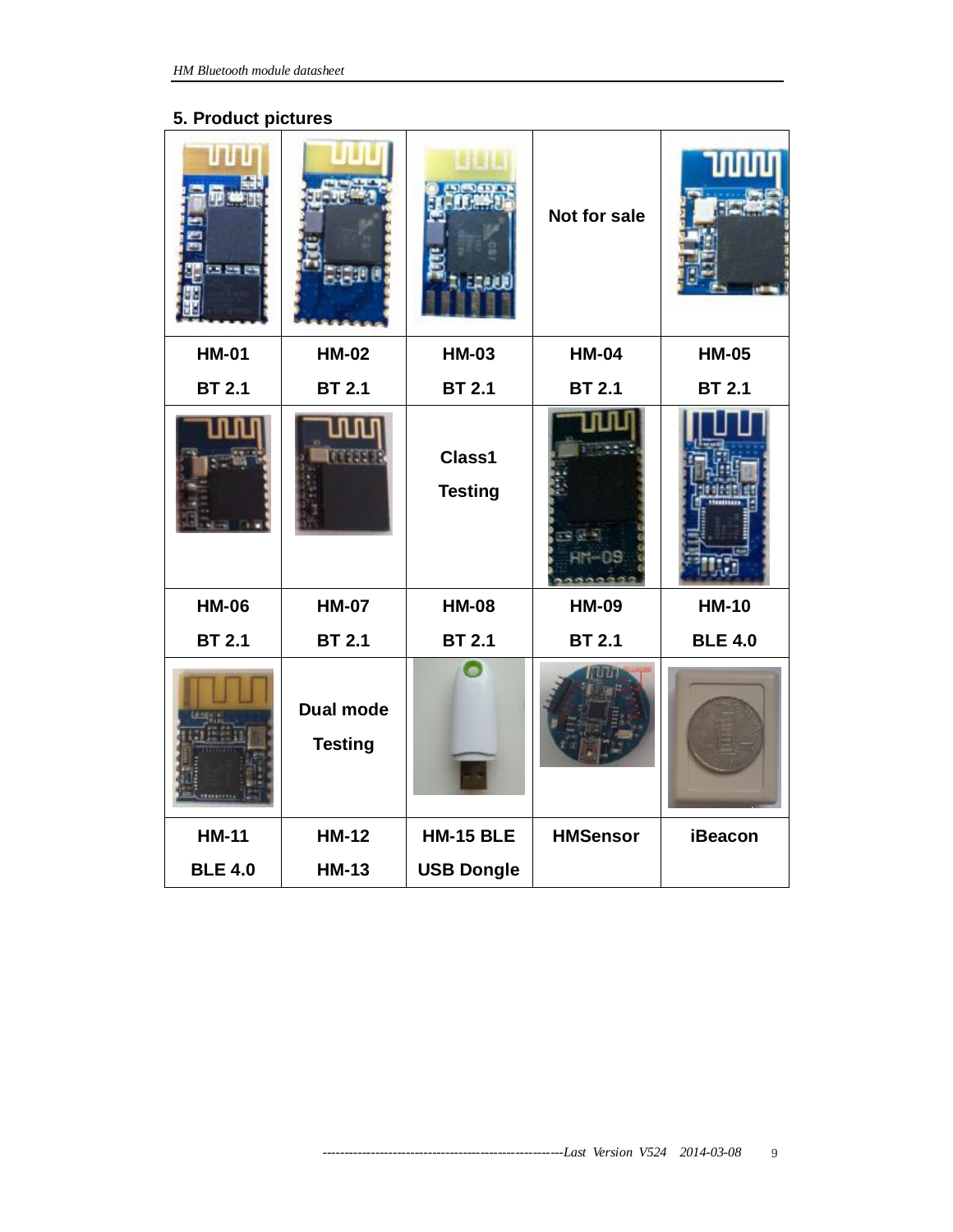# **5. Product pictures**

| <b>SERE</b>    | 350 C                              | <b>DECEMBER</b><br>1800  | Not for sale    | UUU            |
|----------------|------------------------------------|--------------------------|-----------------|----------------|
| <b>HM-01</b>   | <b>HM-02</b>                       | <b>HM-03</b>             | <b>HM-04</b>    | <b>HM-05</b>   |
| <b>BT 2.1</b>  | <b>BT 2.1</b>                      | <b>BT 2.1</b>            | <b>BT 2.1</b>   | <b>BT 2.1</b>  |
|                | 9835                               | Class1<br><b>Testing</b> |                 |                |
| <b>HM-06</b>   | <b>HM-07</b>                       | <b>HM-08</b>             | <b>HM-09</b>    | <b>HM-10</b>   |
| <b>BT 2.1</b>  | <b>BT 2.1</b>                      | <b>BT 2.1</b>            | <b>BT 2.1</b>   | <b>BLE 4.0</b> |
|                | <b>Dual mode</b><br><b>Testing</b> |                          |                 |                |
| <b>HM-11</b>   | <b>HM-12</b>                       | <b>HM-15 BLE</b>         | <b>HMSensor</b> | <b>iBeacon</b> |
| <b>BLE 4.0</b> | <b>HM-13</b>                       | <b>USB Dongle</b>        |                 |                |

*-------------------------------------------------------Last Version V524 2014-03-08* 9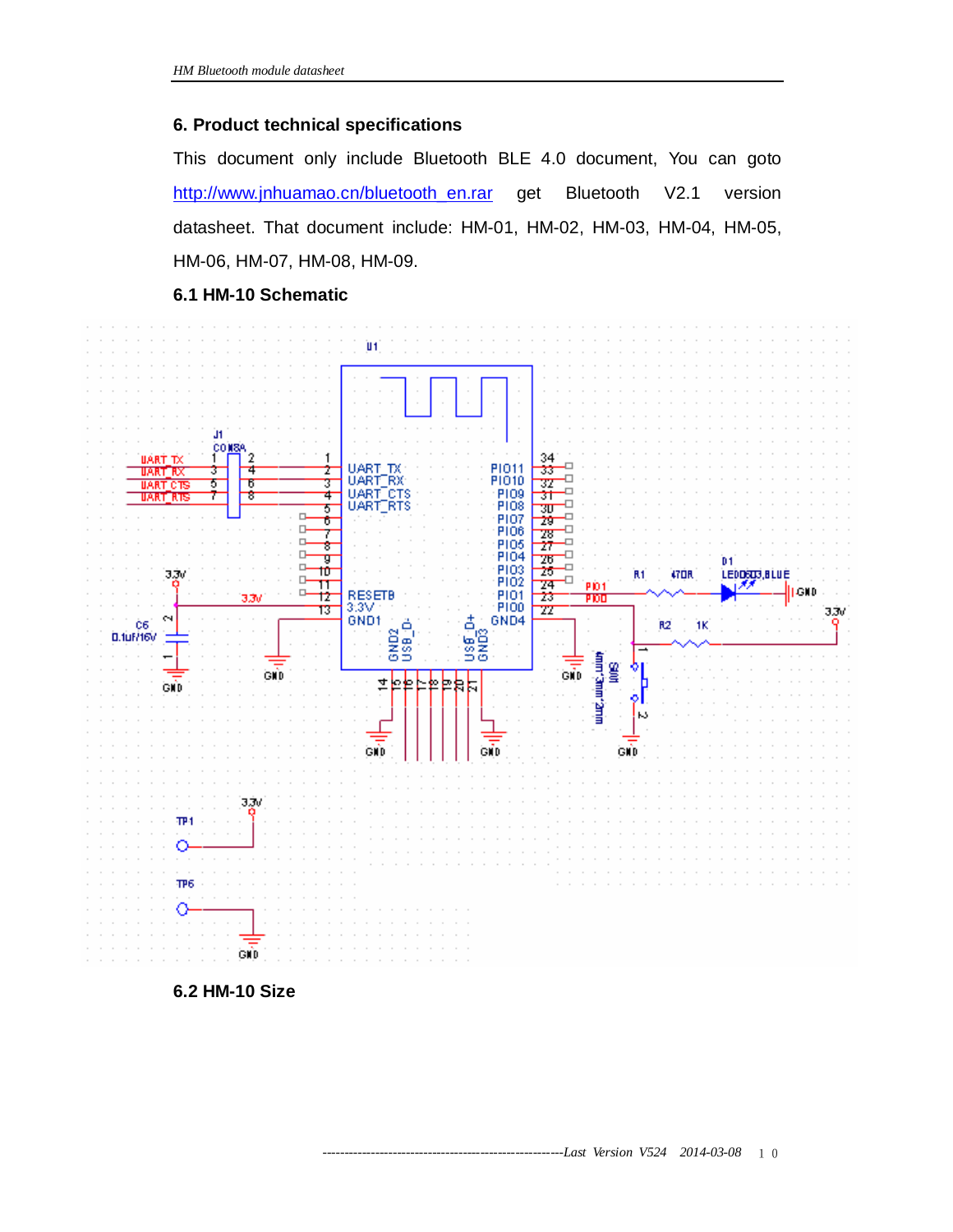#### **6. Product technical specifications**

This document only include Bluetooth BLE 4.0 document, You can goto http://www.jnhuamao.cn/bluetooth en.rar get Bluetooth V2.1 version datasheet. That document include: HM-01, HM-02, HM-03, HM-04, HM-05, HM-06, HM-07, HM-08, HM-09.

#### **6.1 HM-10 Schematic**

![](_page_9_Figure_4.jpeg)

**6.2 HM-10 Size**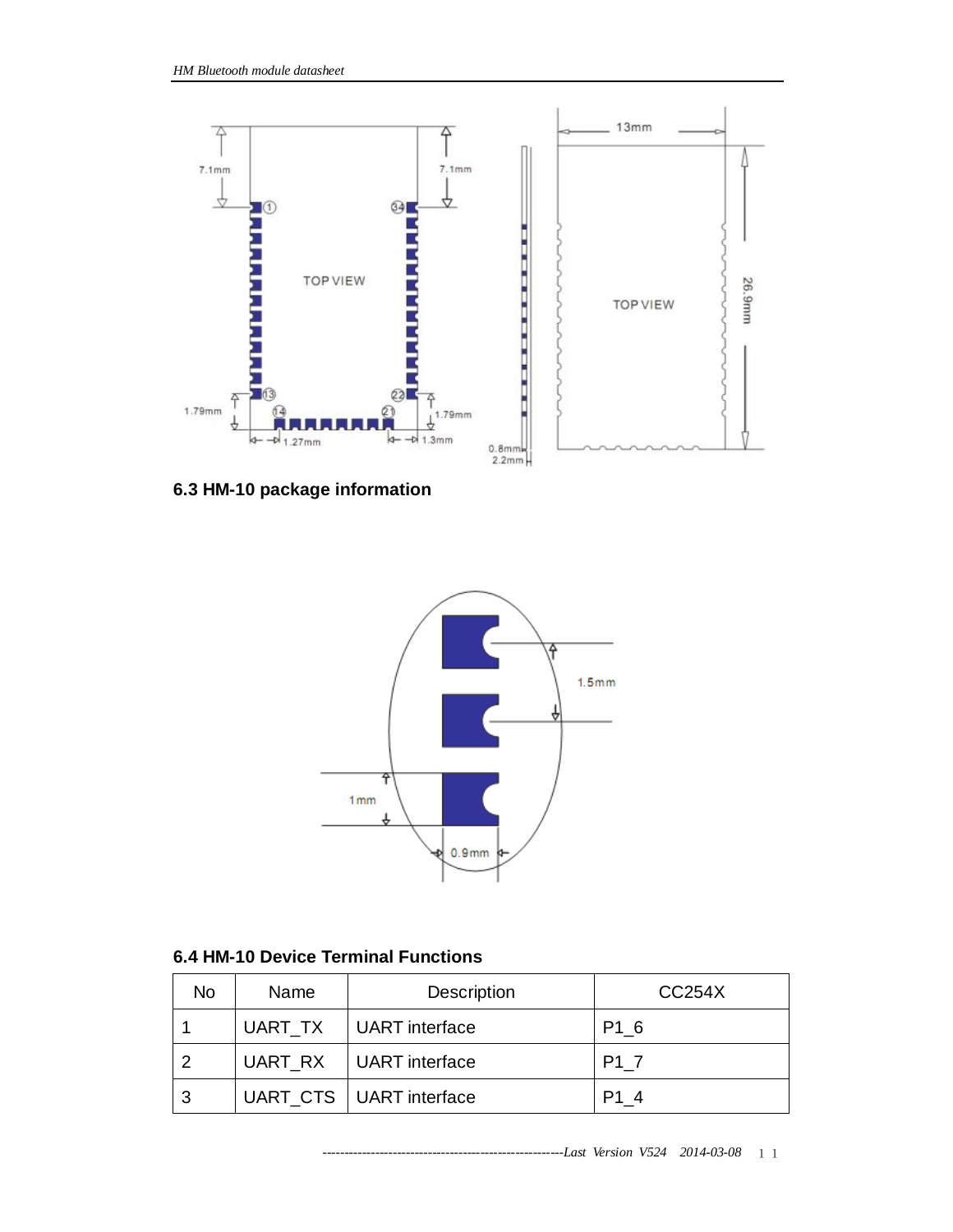![](_page_10_Figure_1.jpeg)

**6.3 HM-10 package information** 

![](_page_10_Figure_3.jpeg)

## **6.4 HM-10 Device Terminal Functions**

| <b>No</b>     | <b>Name</b> | Description               | <b>CC254X</b> |
|---------------|-------------|---------------------------|---------------|
|               |             | UART TX   UART interface  | P1 6          |
| $\mathcal{P}$ |             | UART RX   UART interface  | P1 7          |
| 3             |             | UART_CTS   UART interface | P1 4          |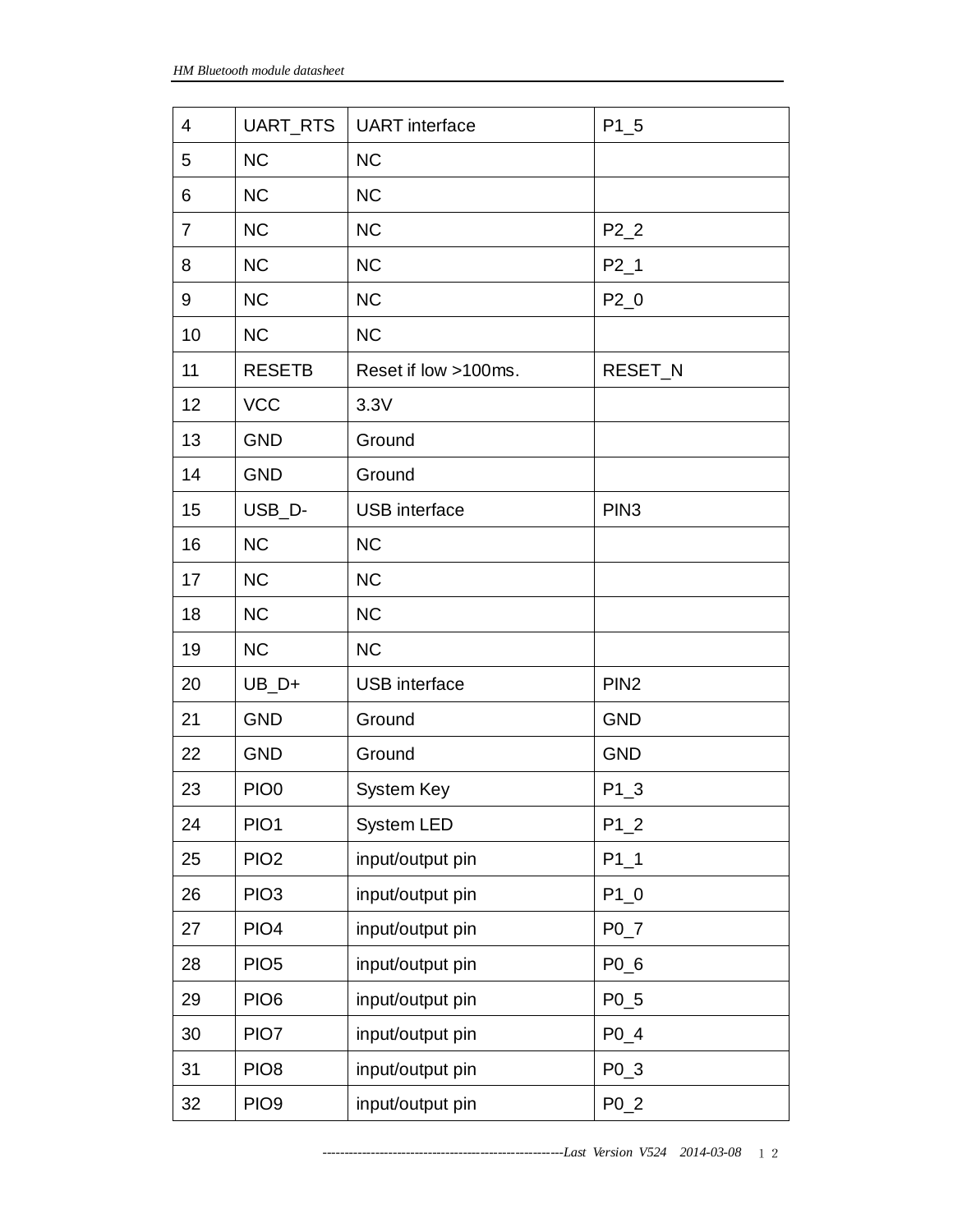| 4              | UART_RTS         | <b>UART</b> interface | $P1_5$           |
|----------------|------------------|-----------------------|------------------|
| 5              | <b>NC</b>        | <b>NC</b>             |                  |
| 6              | <b>NC</b>        | <b>NC</b>             |                  |
| $\overline{7}$ | <b>NC</b>        | <b>NC</b>             | $P2_2$           |
| 8              | <b>NC</b>        | <b>NC</b>             | $P2_1$           |
| 9              | <b>NC</b>        | <b>NC</b>             | $P2_0$           |
| 10             | <b>NC</b>        | <b>NC</b>             |                  |
| 11             | <b>RESETB</b>    | Reset if low >100ms.  | RESET_N          |
| 12             | <b>VCC</b>       | 3.3V                  |                  |
| 13             | <b>GND</b>       | Ground                |                  |
| 14             | <b>GND</b>       | Ground                |                  |
| 15             | USB_D-           | <b>USB</b> interface  | PIN <sub>3</sub> |
| 16             | <b>NC</b>        | <b>NC</b>             |                  |
| 17             | <b>NC</b>        | <b>NC</b>             |                  |
| 18             | <b>NC</b>        | <b>NC</b>             |                  |
| 19             | <b>NC</b>        | <b>NC</b>             |                  |
| 20             | $UB_D+$          | <b>USB</b> interface  | PIN <sub>2</sub> |
| 21             | <b>GND</b>       | Ground                | <b>GND</b>       |
| 22             | <b>GND</b>       | Ground                | <b>GND</b>       |
| 23             | PIO <sub>0</sub> | System Key            | P1 3             |
| 24             | PIO1             | <b>System LED</b>     | $P1_2$           |
| 25             | PIO <sub>2</sub> | input/output pin      | $P1_1$           |
| 26             | PIO <sub>3</sub> | input/output pin      | $P1_0$           |
| 27             | PIO <sub>4</sub> | input/output pin      | $P0_7$           |
| 28             | PIO <sub>5</sub> | input/output pin      | $P0_6$           |
| 29             | PIO <sub>6</sub> | input/output pin      | $P0_5$           |
| 30             | PIO7             | input/output pin      | $P0_4$           |
| 31             | PIO <sub>8</sub> | input/output pin      | $P0_3$           |
| 32             | PIO <sub>9</sub> | input/output pin      | $P0_2$           |

*-------------------------------------------------------Last Version V524 2014-03-08* 12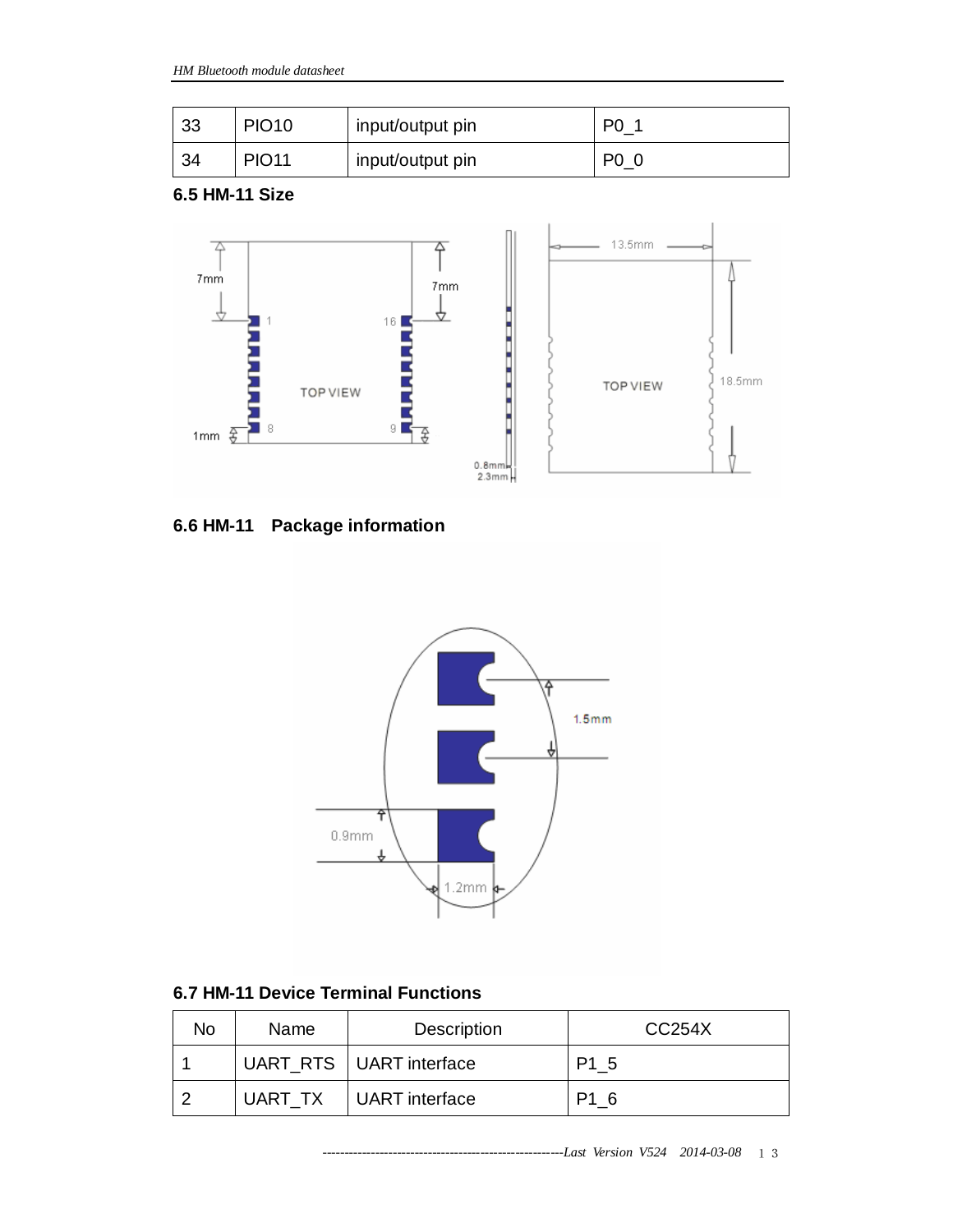| 33 | <b>PIO10</b> | input/output pin |                 |
|----|--------------|------------------|-----------------|
| 34 | <b>PIO11</b> | input/output pin | P0 <sub>u</sub> |

**6.5 HM-11 Size** 

![](_page_12_Figure_3.jpeg)

# **6.6 HM-11 Package information**

![](_page_12_Figure_5.jpeg)

| No | Name    | Description               | CC254X |
|----|---------|---------------------------|--------|
|    |         | UART_RTS   UART interface | P1 5   |
|    | UART TX | <b>UART</b> interface     | P1 6   |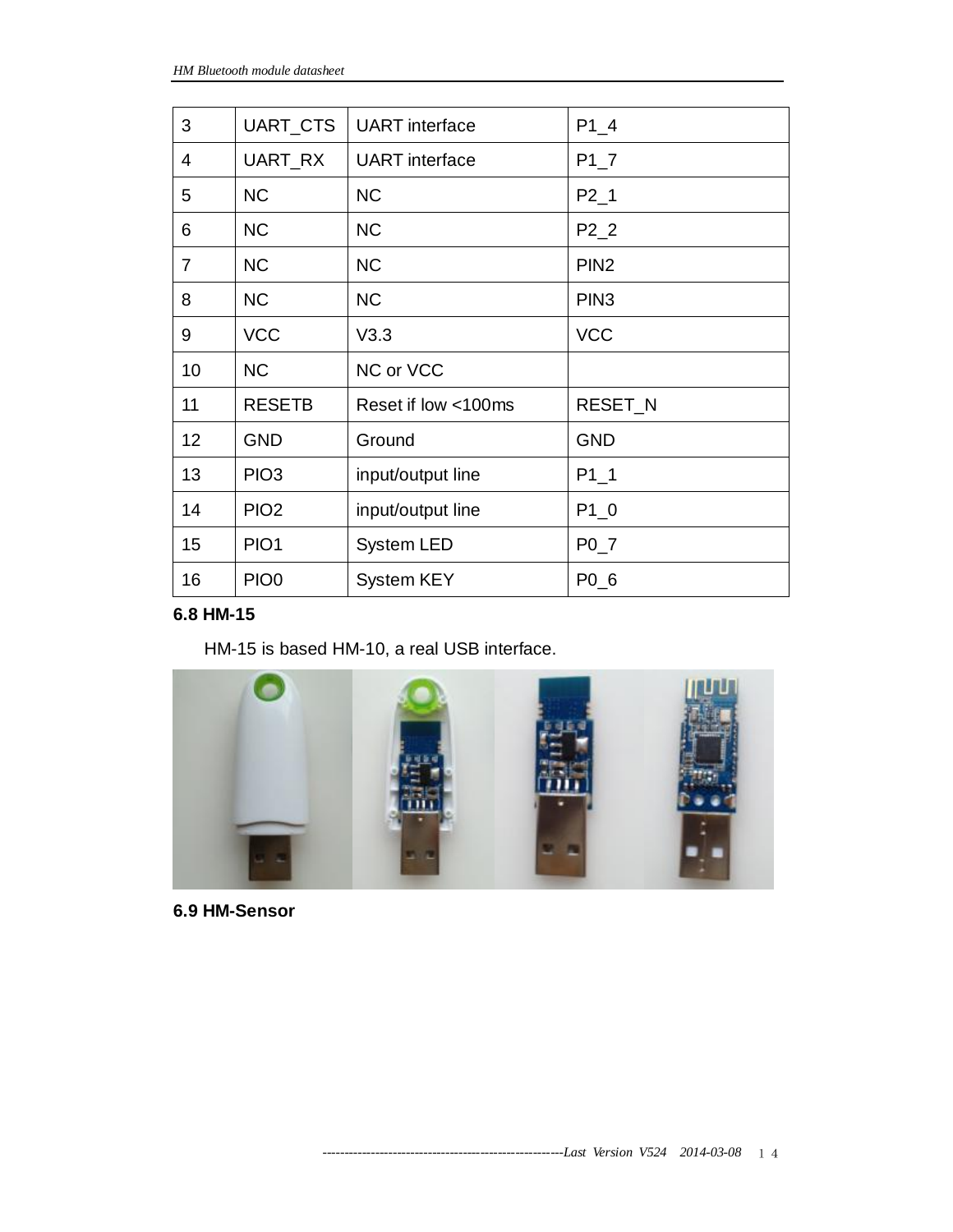| 3  | UART_CTS         | <b>UART</b> interface | $P1_4$           |
|----|------------------|-----------------------|------------------|
| 4  | UART_RX          | <b>UART</b> interface | $P1_7$           |
| 5  | <b>NC</b>        | <b>NC</b>             | $P2_1$           |
| 6  | <b>NC</b>        | <b>NC</b>             | $P2_2$           |
| 7  | <b>NC</b>        | <b>NC</b>             | PIN <sub>2</sub> |
| 8  | <b>NC</b>        | <b>NC</b>             | PIN <sub>3</sub> |
| 9  | <b>VCC</b>       | V3.3                  | <b>VCC</b>       |
| 10 | <b>NC</b>        | NC or VCC             |                  |
| 11 | <b>RESETB</b>    | Reset if low <100ms   | RESET_N          |
| 12 | <b>GND</b>       | Ground                | <b>GND</b>       |
| 13 | PIO <sub>3</sub> | input/output line     | $P1_1$           |
| 14 | PIO <sub>2</sub> | input/output line     | $P1_0$           |
| 15 | PIO <sub>1</sub> | <b>System LED</b>     | $P0_7$           |
| 16 | PIO <sub>0</sub> | <b>System KEY</b>     | $P0_6$           |

# **6.8 HM-15**

HM-15 is based HM-10, a real USB interface.

![](_page_13_Picture_4.jpeg)

**6.9 HM-Sensor**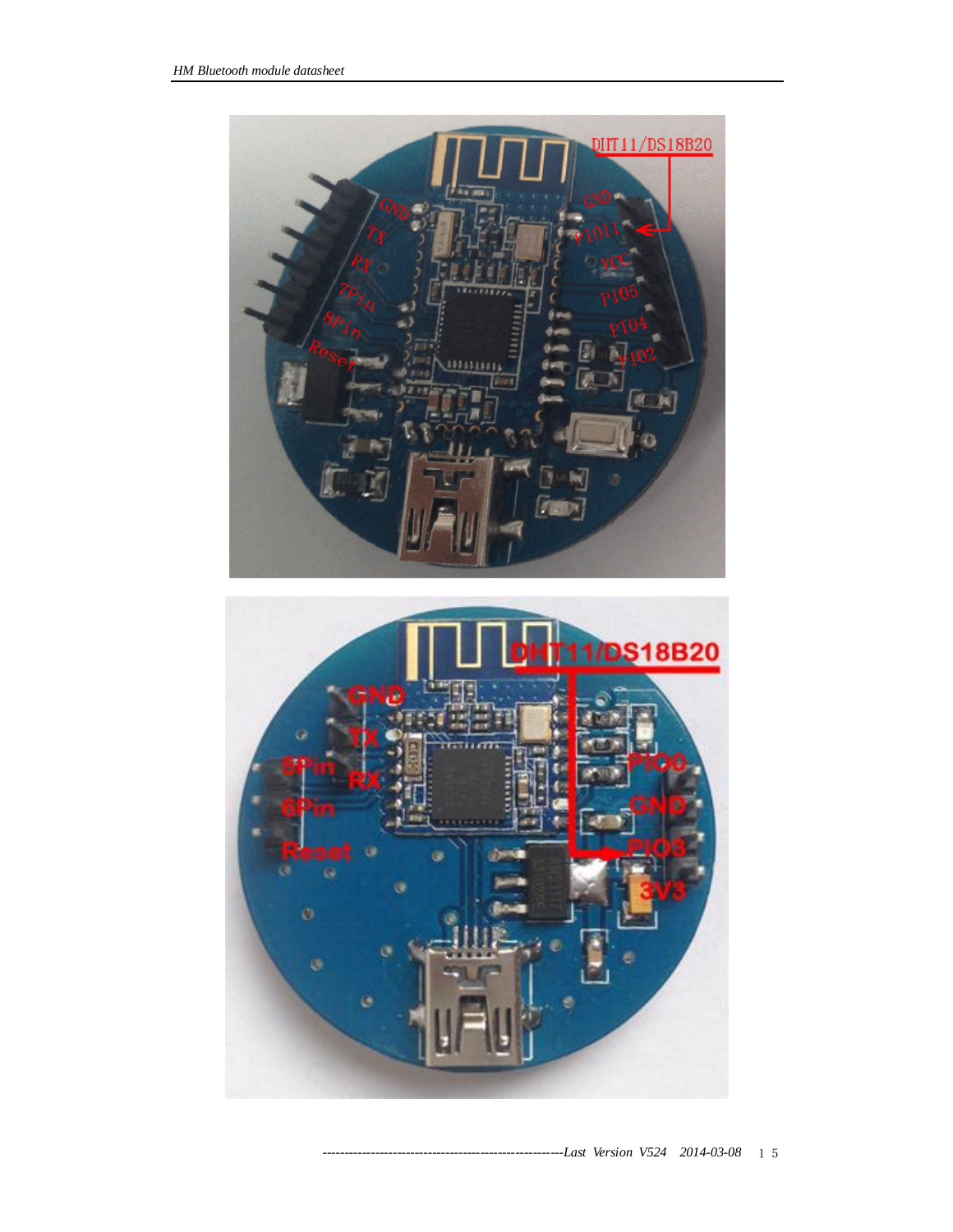![](_page_14_Picture_1.jpeg)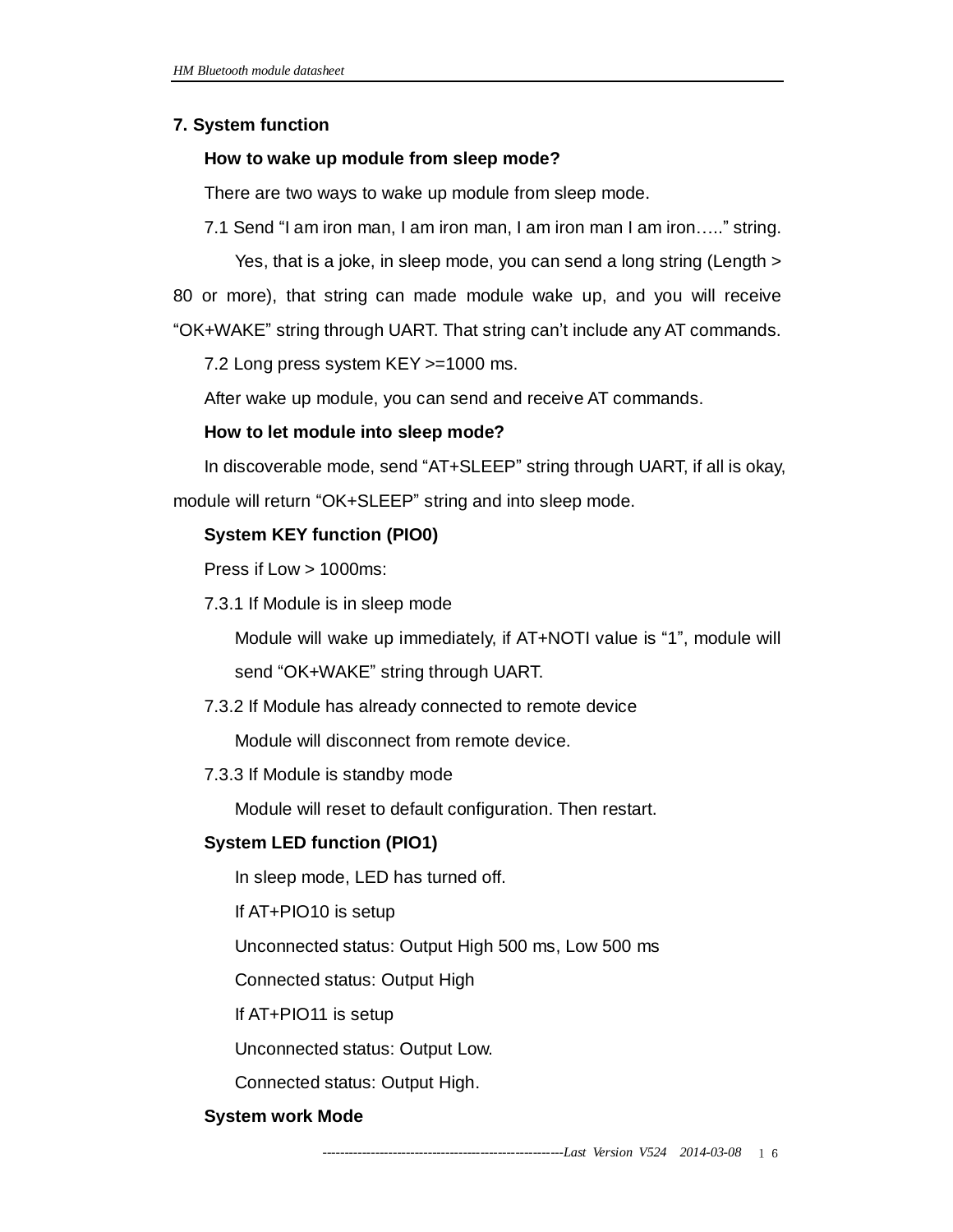#### **7. System function**

#### **How to wake up module from sleep mode?**

There are two ways to wake up module from sleep mode.

7.1 Send "I am iron man, I am iron man, I am iron man I am iron….." string. Yes, that is a joke, in sleep mode, you can send a long string (Length > 80 or more), that string can made module wake up, and you will receive "OK+WAKE" string through UART. That string can't include any AT commands.

7.2 Long press system KEY >=1000 ms.

After wake up module, you can send and receive AT commands.

#### **How to let module into sleep mode?**

In discoverable mode, send "AT+SLEEP" string through UART, if all is okay, module will return "OK+SLEEP" string and into sleep mode.

## **System KEY function (PIO0)**

Press if Low > 1000ms:

7.3.1 If Module is in sleep mode

Module will wake up immediately, if AT+NOTI value is "1", module will send "OK+WAKE" string through UART.

7.3.2 If Module has already connected to remote device

Module will disconnect from remote device.

7.3.3 If Module is standby mode

Module will reset to default configuration. Then restart.

#### **System LED function (PIO1)**

In sleep mode, LED has turned off.

If AT+PIO10 is setup

Unconnected status: Output High 500 ms, Low 500 ms

Connected status: Output High

If AT+PIO11 is setup

Unconnected status: Output Low.

Connected status: Output High.

#### **System work Mode**

*-------------------------------------------------------Last Version V524 2014-03-08* 16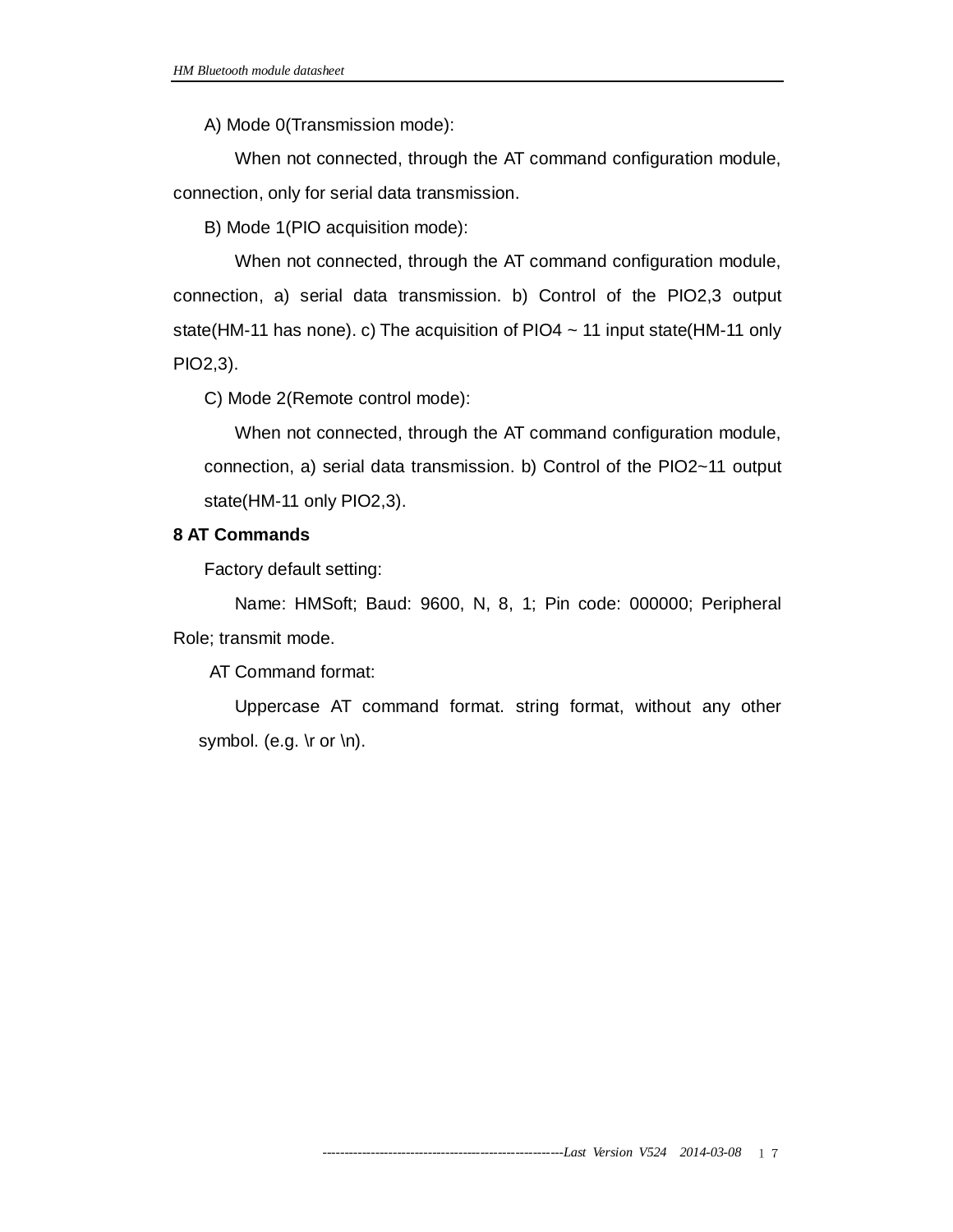A) Mode 0(Transmission mode):

When not connected, through the AT command configuration module, connection, only for serial data transmission.

B) Mode 1(PIO acquisition mode):

When not connected, through the AT command configuration module, connection, a) serial data transmission. b) Control of the PIO2,3 output state(HM-11 has none). c) The acquisition of PIO4 ~ 11 input state(HM-11 only PIO2,3).

C) Mode 2(Remote control mode):

When not connected, through the AT command configuration module, connection, a) serial data transmission. b) Control of the PIO2~11 output state(HM-11 only PIO2,3).

#### **8 AT Commands**

Factory default setting:

Name: HMSoft; Baud: 9600, N, 8, 1; Pin code: 000000; Peripheral Role; transmit mode.

AT Command format:

Uppercase AT command format. string format, without any other symbol. (e.g.  $\forall$ r or  $\forall$ n).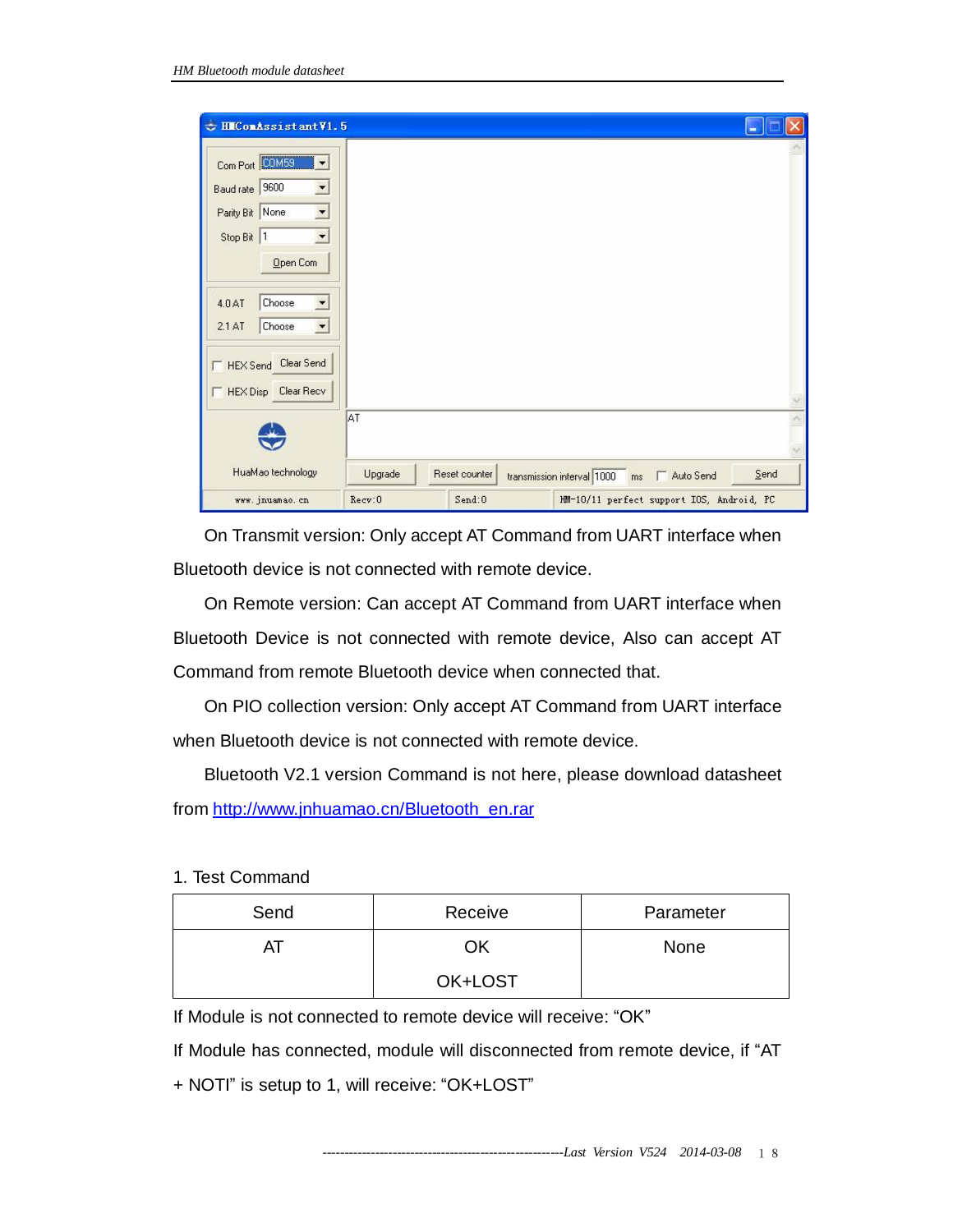| HIComAssistantV1.5<br>÷                                                                                                                                                                   |         |               |                                               | $\overline{\phantom{a}}$ |
|-------------------------------------------------------------------------------------------------------------------------------------------------------------------------------------------|---------|---------------|-----------------------------------------------|--------------------------|
| Com Port COM59<br>$\overline{\phantom{0}}$<br>Baud rate 9600<br>$\overline{\phantom{a}}$<br>$\overline{\phantom{a}}$<br>Parity Bit None<br>$\blacktriangledown$<br>Stop Bit 1<br>Open Com |         |               |                                               |                          |
| Choose<br>4.0AT<br>▼<br>Choose<br>2.1AT<br>$\blacktriangledown$                                                                                                                           |         |               |                                               |                          |
| HEX Send Clear Send<br>Clear Recv<br><b>HEX Disp</b>                                                                                                                                      |         |               |                                               |                          |
|                                                                                                                                                                                           | AT      |               |                                               |                          |
| HuaMao technology                                                                                                                                                                         | Upgrade | Reset counter | transmission interval 1000<br>Auto Send<br>ms | Send                     |
| www. jnuamao. cn                                                                                                                                                                          | Recv:0  | Send:0        | HM-10/11 perfect support IOS, Android, PC     |                          |

On Transmit version: Only accept AT Command from UART interface when Bluetooth device is not connected with remote device.

On Remote version: Can accept AT Command from UART interface when Bluetooth Device is not connected with remote device, Also can accept AT Command from remote Bluetooth device when connected that.

On PIO collection version: Only accept AT Command from UART interface when Bluetooth device is not connected with remote device.

Bluetooth V2.1 version Command is not here, please download datasheet from [http://www.jnhuamao.cn/Bluetooth\\_en.rar](http://www.jnhuamao.cn/Bluetooth_en.rar)

1. Test Command

| Send | Receive | Parameter |
|------|---------|-----------|
| - 11 | ΟK      | None      |
|      | OK+LOST |           |

If Module is not connected to remote device will receive: "OK"

If Module has connected, module will disconnected from remote device, if "AT

+ NOTI" is setup to 1, will receive: "OK+LOST"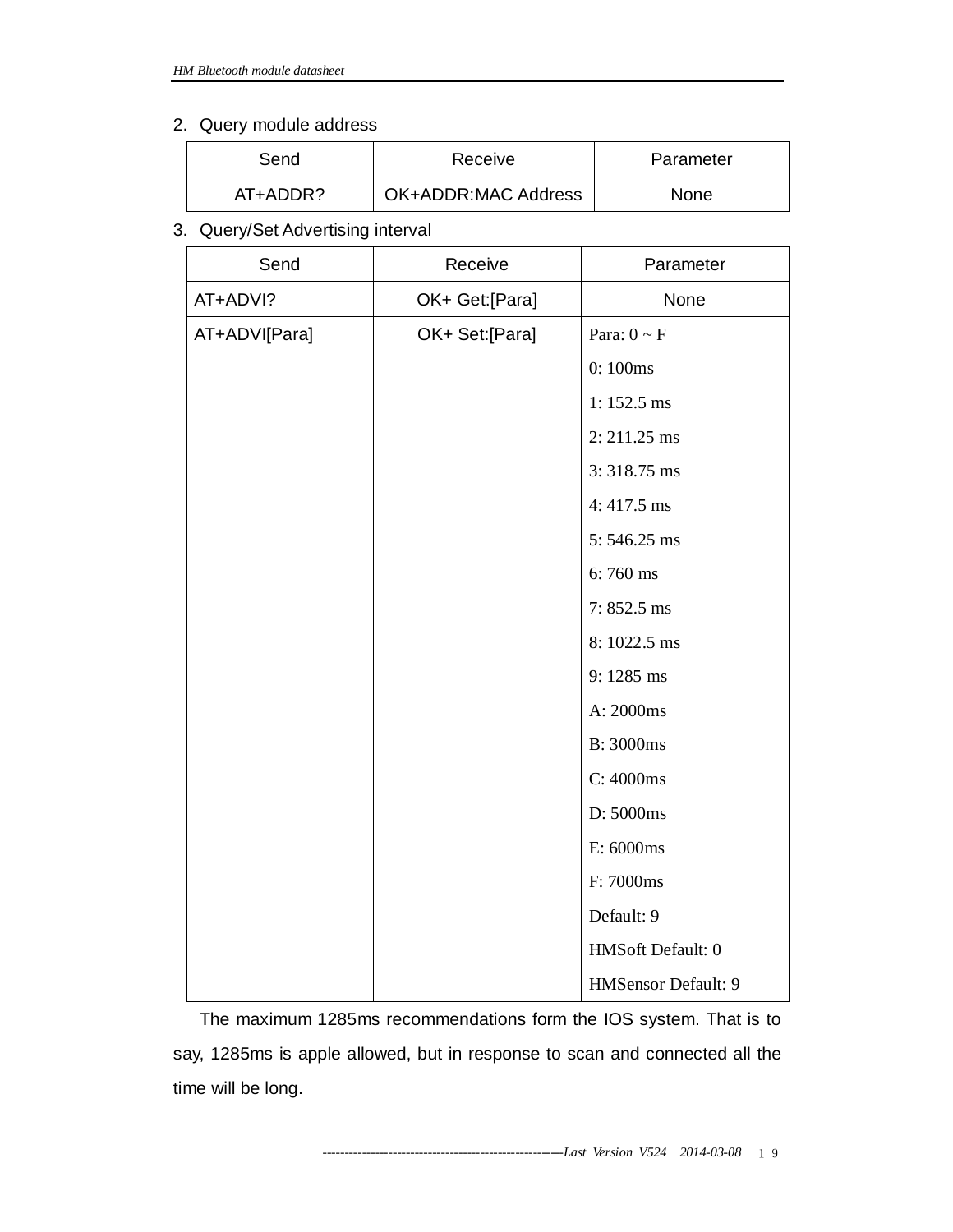## 2. Query module address

| Send     | Receive                    |             |
|----------|----------------------------|-------------|
| AT+ADDR? | <b>OK+ADDR:MAC Address</b> | <b>None</b> |

#### 3. Query/Set Advertising interval

| Send          | Receive        | Parameter           |
|---------------|----------------|---------------------|
| AT+ADVI?      | OK+ Get:[Para] | None                |
| AT+ADVI[Para] | OK+ Set:[Para] | Para: $0 \sim F$    |
|               |                | 0:100ms             |
|               |                | $1:152.5$ ms        |
|               |                | 2:211.25 ms         |
|               |                | $3:318.75$ ms       |
|               |                | 4:417.5 ms          |
|               |                | 5:546.25 ms         |
|               |                | 6:760 ms            |
|               |                | $7:852.5$ ms        |
|               |                | 8:1022.5 ms         |
|               |                | 9:1285 ms           |
|               |                | A: 2000ms           |
|               |                | B: 3000ms           |
|               |                | C: 4000ms           |
|               |                | D: 5000ms           |
|               |                | E: 6000ms           |
|               |                | F: 7000ms           |
|               |                | Default: 9          |
|               |                | HMSoft Default: 0   |
|               |                | HMSensor Default: 9 |

The maximum 1285ms recommendations form the IOS system. That is to say, 1285ms is apple allowed, but in response to scan and connected all the time will be long.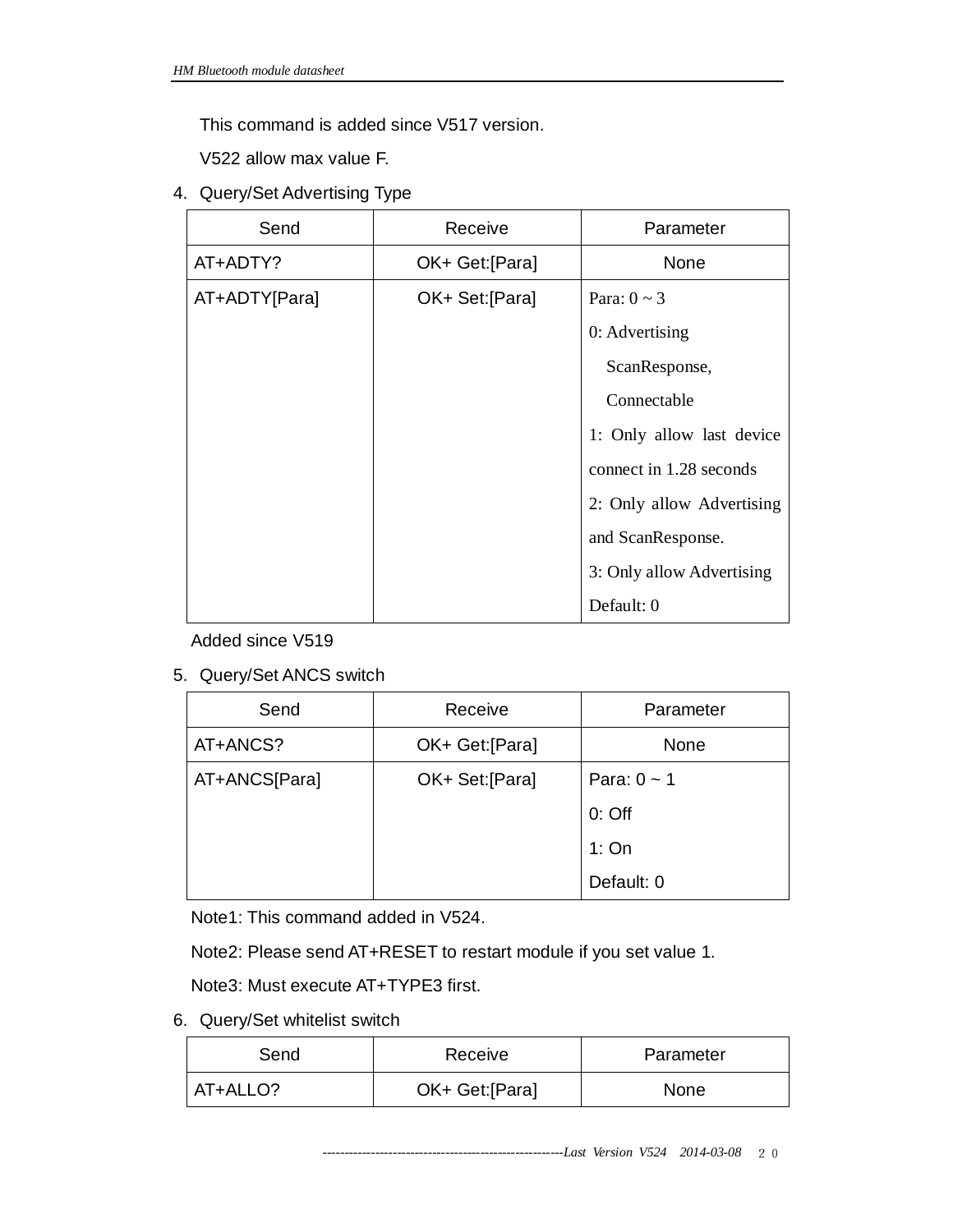This command is added since V517 version.

V522 allow max value F.

4. Query/Set Advertising Type

| Send          | Receive         | Parameter                 |
|---------------|-----------------|---------------------------|
| AT+ADTY?      | OK+ Get:[Para]  | None                      |
| AT+ADTY[Para] | OK+ Set: [Para] | Para: $0 \sim 3$          |
|               |                 | 0: Advertising            |
|               |                 | ScanResponse,             |
|               |                 | Connectable               |
|               |                 | 1: Only allow last device |
|               |                 | connect in 1.28 seconds   |
|               |                 | 2: Only allow Advertising |
|               |                 | and ScanResponse.         |
|               |                 | 3: Only allow Advertising |
|               |                 | Default: 0                |

Added since V519

5. Query/Set ANCS switch

| Send          | Receive         | Parameter        |
|---------------|-----------------|------------------|
| AT+ANCS?      | OK+ Get: [Para] | None             |
| AT+ANCS[Para] | OK+ Set:[Para]  | Para: $0 \sim 1$ |
|               |                 | $0:$ Off         |
|               |                 | 1:On             |
|               |                 | Default: 0       |

Note1: This command added in V524.

Note2: Please send AT+RESET to restart module if you set value 1.

Note3: Must execute AT+TYPE3 first.

6. Query/Set whitelist switch

| Send     | Receive         | Parameter   |
|----------|-----------------|-------------|
| AT+ALLO? | OK+ Get: [Para] | <b>None</b> |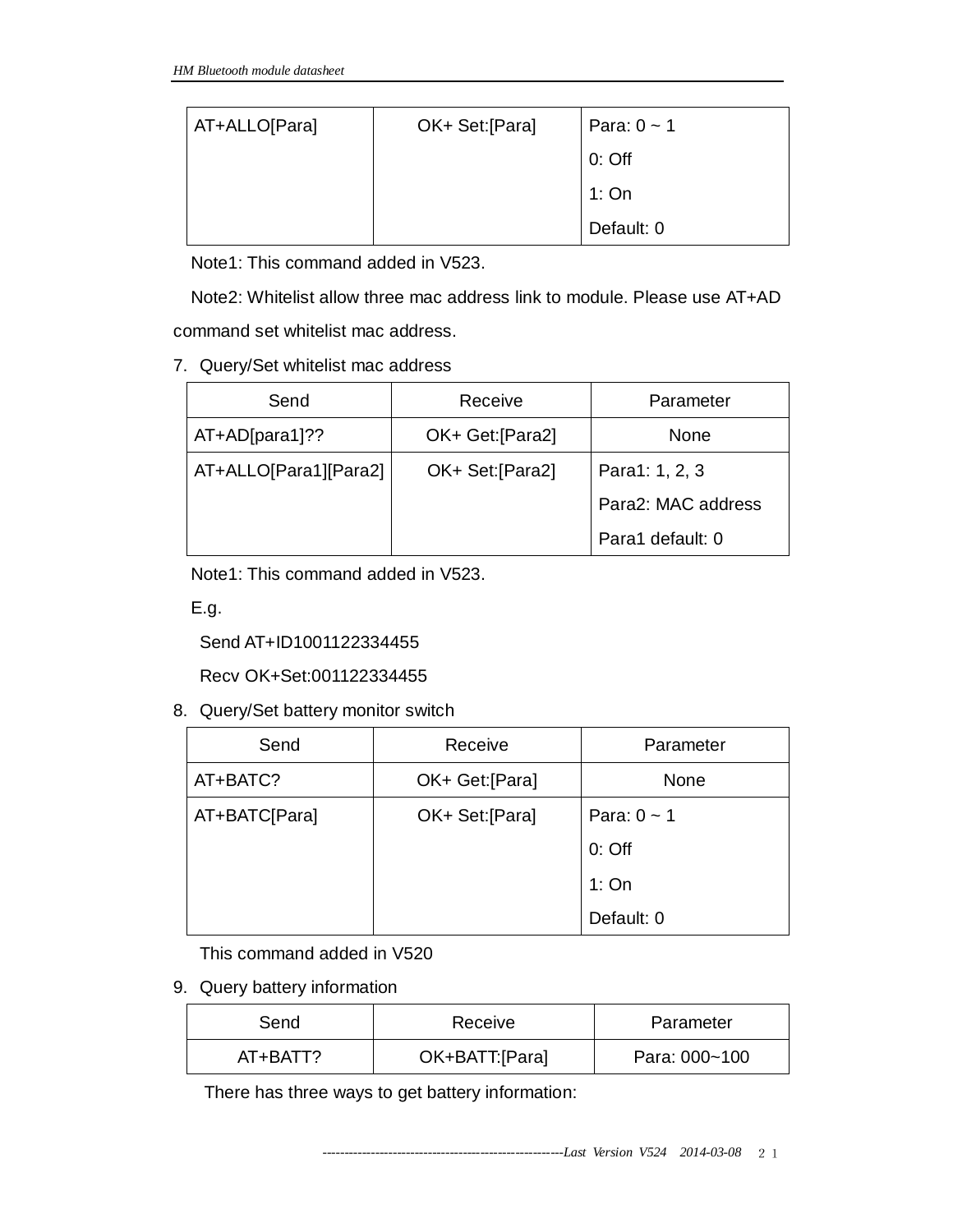| AT+ALLO[Para] | OK+ Set: [Para] | Para: $0 \sim 1$ |
|---------------|-----------------|------------------|
|               |                 | $0:$ Off         |
|               |                 | 1: On            |
|               |                 | Default: 0       |

Note1: This command added in V523.

Note2: Whitelist allow three mac address link to module. Please use AT+AD command set whitelist mac address.

7. Query/Set whitelist mac address

| Send                  | Receive          | Parameter          |
|-----------------------|------------------|--------------------|
| $AT+AD[para1]$ ?      | OK+ Get: [Para2] | None               |
| AT+ALLO[Para1][Para2] | OK+ Set: [Para2] | Para1: 1, 2, 3     |
|                       |                  | Para2: MAC address |
|                       |                  | Para1 default: 0   |

Note1: This command added in V523.

E.g.

Send AT+ID1001122334455

Recv OK+Set:001122334455

8. Query/Set battery monitor switch

| Send          | Receive         | Parameter        |
|---------------|-----------------|------------------|
| AT+BATC?      | OK+ Get: [Para] | None             |
| AT+BATC[Para] | OK+ Set: [Para] | Para: $0 \sim 1$ |
|               |                 | $0:$ Off         |
|               |                 | 1:On             |
|               |                 | Default: 0       |

This command added in V520

9. Query battery information

| Send     | Receive        | Parameter     |
|----------|----------------|---------------|
| AT+BATT? | OK+BATT:[Para] | Para: 000~100 |

There has three ways to get battery information: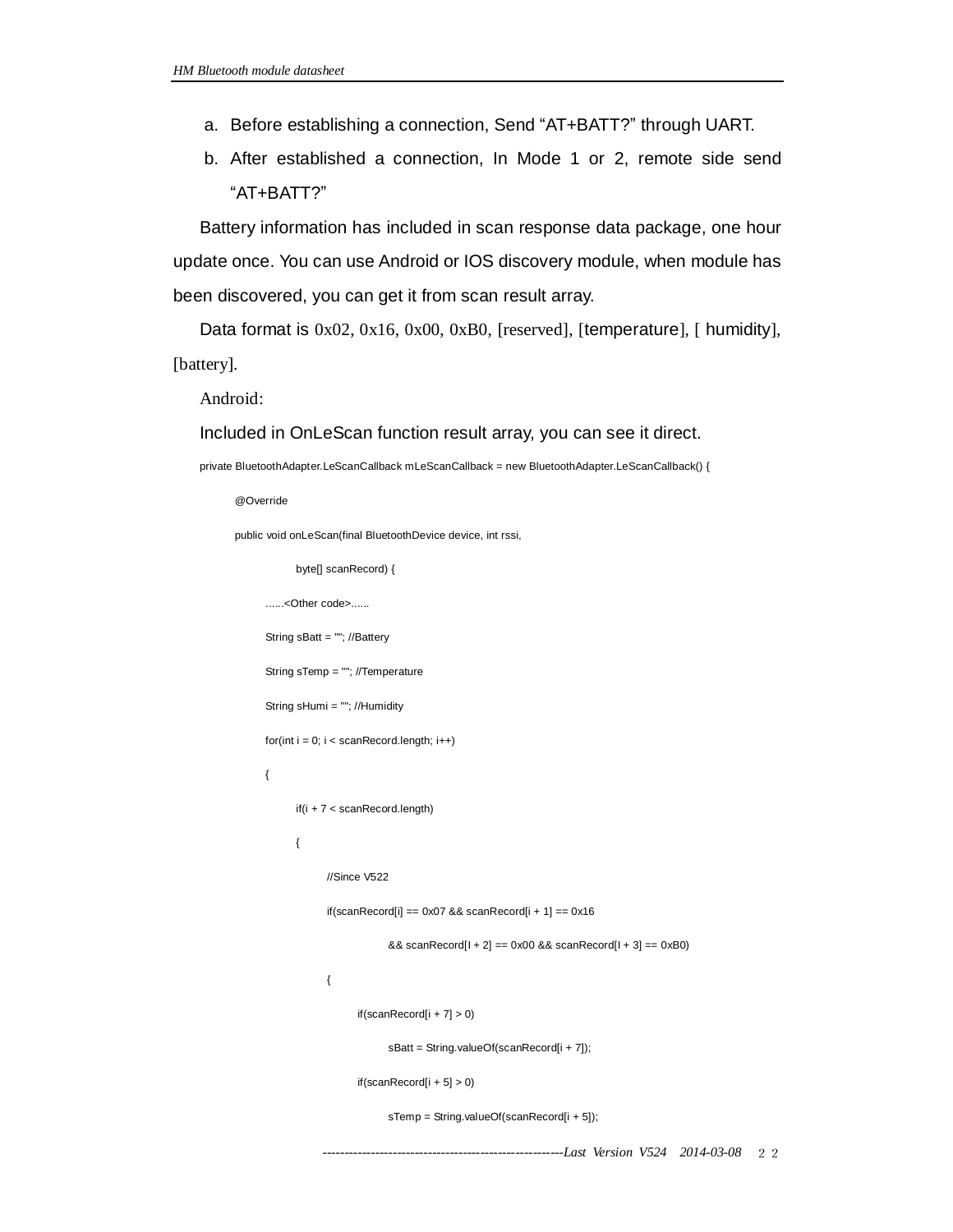- a. Before establishing a connection, Send "AT+BATT?" through UART.
- b. After established a connection, In Mode 1 or 2, remote side send "AT+BATT?"

Battery information has included in scan response data package, one hour update once. You can use Android or IOS discovery module, when module has been discovered, you can get it from scan result array.

Data format is  $0x02$ ,  $0x16$ ,  $0x00$ ,  $0xB0$ , [reserved], [temperature], [ humidity], [battery].

Android:

Included in OnLeScan function result array, you can see it direct.

private BluetoothAdapter.LeScanCallback mLeScanCallback = new BluetoothAdapter.LeScanCallback() {

```
-------------------------------------------------------Last Version V524 2014-03-08 22
       @Override 
       public void onLeScan(final BluetoothDevice device, int rssi, 
                  byte[] scanRecord) { 
             ......<Other code>...... 
             String sBatt = ""; //Battery 
             String sTemp = ""; //Temperature 
             String sHumi = ""; //Humidity 
            for(int i = 0; i < scanRecord.length; i++)
\{ if(i + 7 < scanRecord.length) 
 { 
                        //Since V522 
                       if(scanRecord[i] == 0x07 && scanRecord[i + 1] == 0x16& scanRecord[1 + 2] = 0x00 && scanRecord[1 + 3] = 0xB0)
\{if(scanRecord[i + 7] > 0)sBatt = String.valueOf(scanRecord[i + 7]);
                             if(scanRecord[i + 5] > 0)sTemp = String.valueOf(scanRecord[i + 5]);
```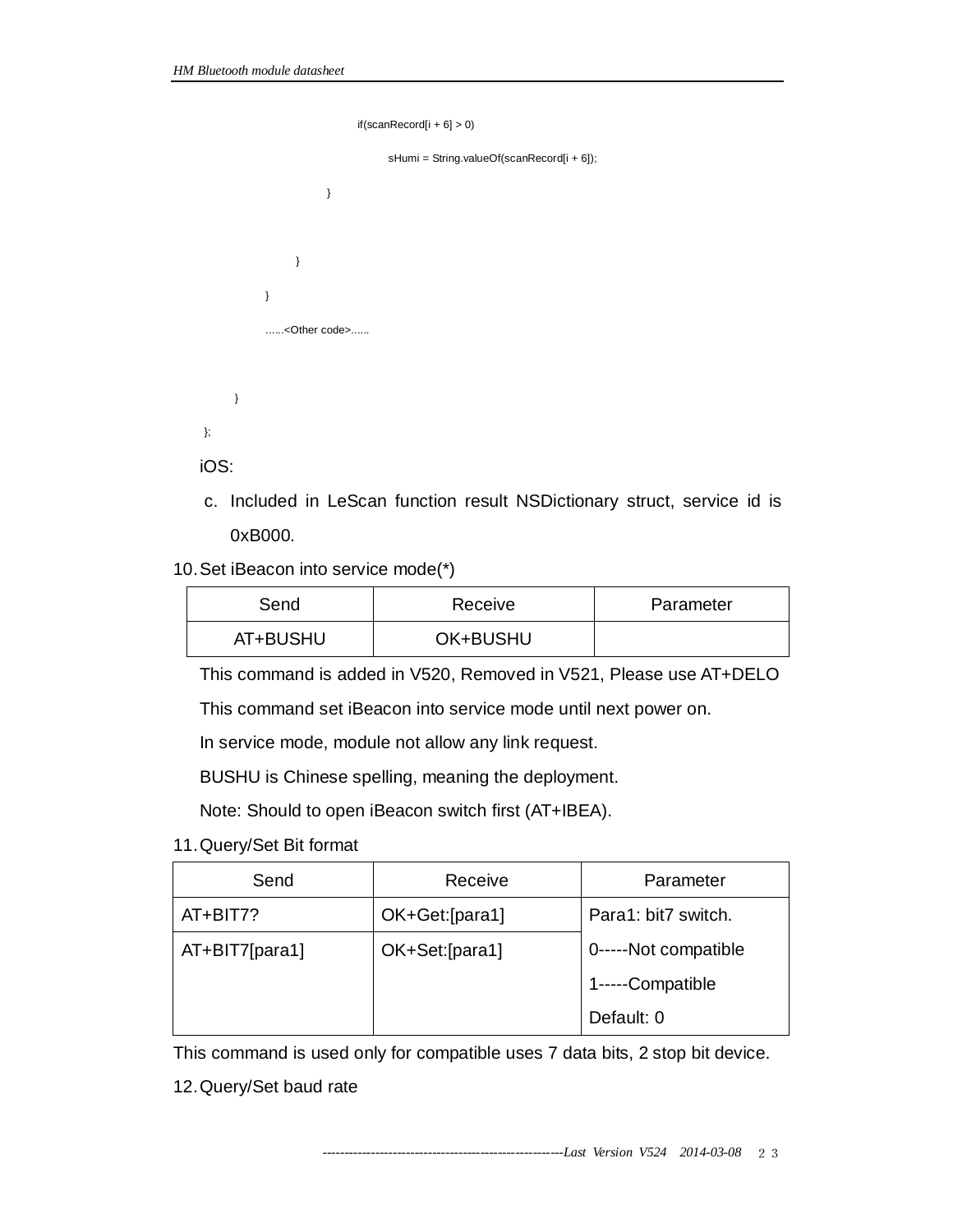```
if(scanRecord[i + 6] > 0)sHumi = String.valueOf(scanRecord[i + 6]);
 } 
                  } 
             } 
             ......<Other code>...... 
       } 
}; 
iOS:
```
c. Included in LeScan function result NSDictionary struct, service id is 0xB000.

10.Set iBeacon into service mode(\*)

| Send     | Receive  | Parameter |
|----------|----------|-----------|
| AT+BUSHU | OK+BUSHU |           |

This command is added in V520, Removed in V521, Please use AT+DELO

This command set iBeacon into service mode until next power on.

In service mode, module not allow any link request.

BUSHU is Chinese spelling, meaning the deployment.

Note: Should to open iBeacon switch first (AT+IBEA).

11.Query/Set Bit format

| Send           | Receive        | Parameter            |
|----------------|----------------|----------------------|
| AT+BIT7?       | OK+Get:[para1] | Para1: bit7 switch.  |
| AT+BIT7[para1] | OK+Set:[para1] | 0-----Not compatible |
|                |                | 1-----Compatible     |
|                |                | Default: 0           |

This command is used only for compatible uses 7 data bits, 2 stop bit device.

12.Query/Set baud rate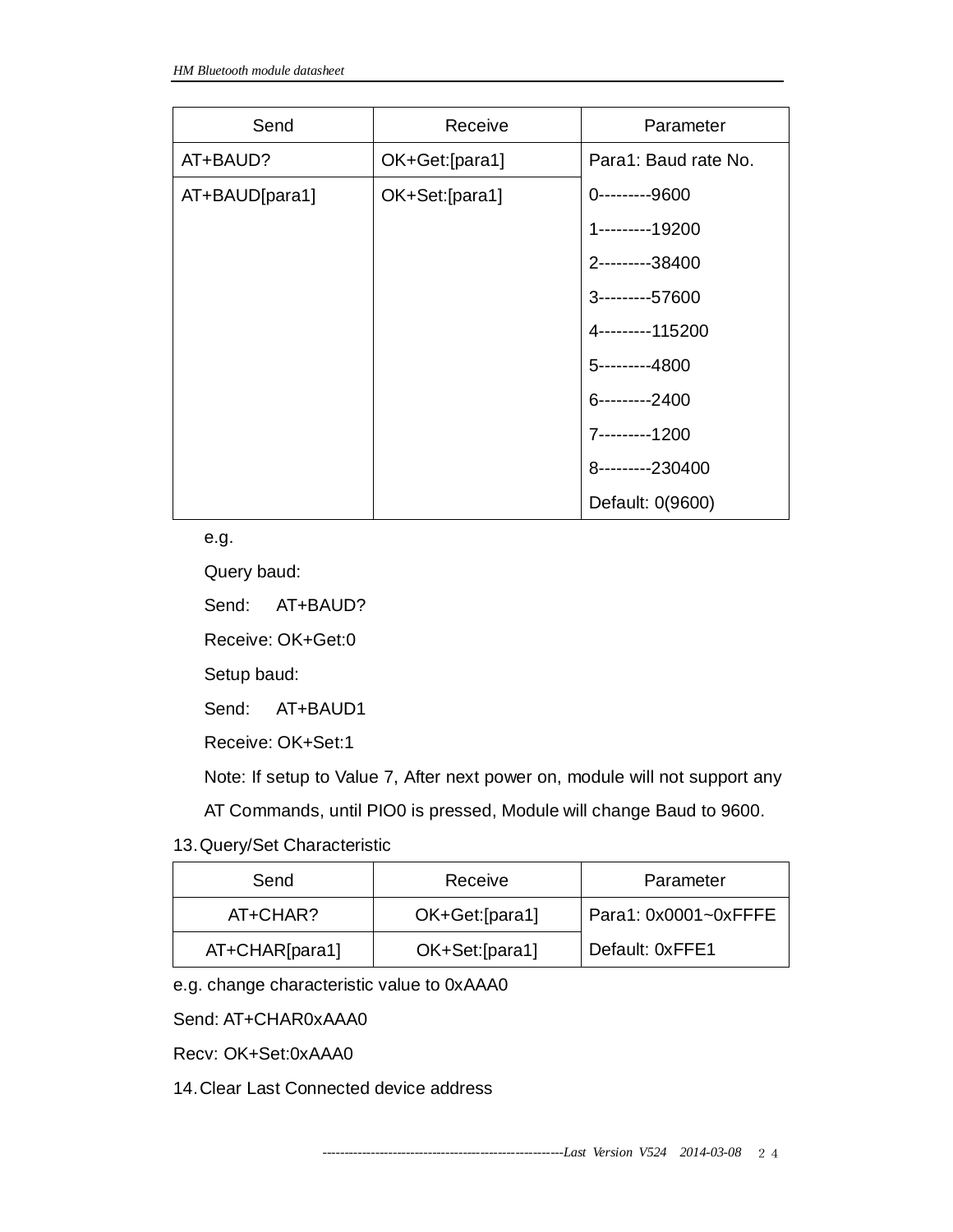| Send           | Receive        | Parameter            |
|----------------|----------------|----------------------|
| AT+BAUD?       | OK+Get:[para1] | Para1: Baud rate No. |
| AT+BAUD[para1] | OK+Set:[para1] | 0---------9600       |
|                |                | 1---------19200      |
|                |                | 2---------38400      |
|                |                | 3----------57600     |
|                |                | 4---------115200     |
|                |                | 5---------4800       |
|                |                | 6---------2400       |
|                |                | 7---------1200       |
|                |                | 8---------230400     |
|                |                | Default: 0(9600)     |

#### e.g.

Query baud:

Send: AT+BAUD?

Receive: OK+Get:0

Setup baud:

Send: AT+BAUD1

Receive: OK+Set:1

Note: If setup to Value 7, After next power on, module will not support any

AT Commands, until PIO0 is pressed, Module will change Baud to 9600.

13.Query/Set Characteristic

| Send           | Receive         | Parameter            |
|----------------|-----------------|----------------------|
| $AT + CHAR?$   | OK+Get:[para1]  | Para1: 0x0001~0xFFFE |
| AT+CHAR[para1] | OK+Set: [para1] | Default: 0xFFE1      |

e.g. change characteristic value to 0xAAA0

Send: AT+CHAR0xAAA0

Recv: OK+Set:0xAAA0

14.Clear Last Connected device address

*-------------------------------------------------------Last Version V524 2014-03-08* 24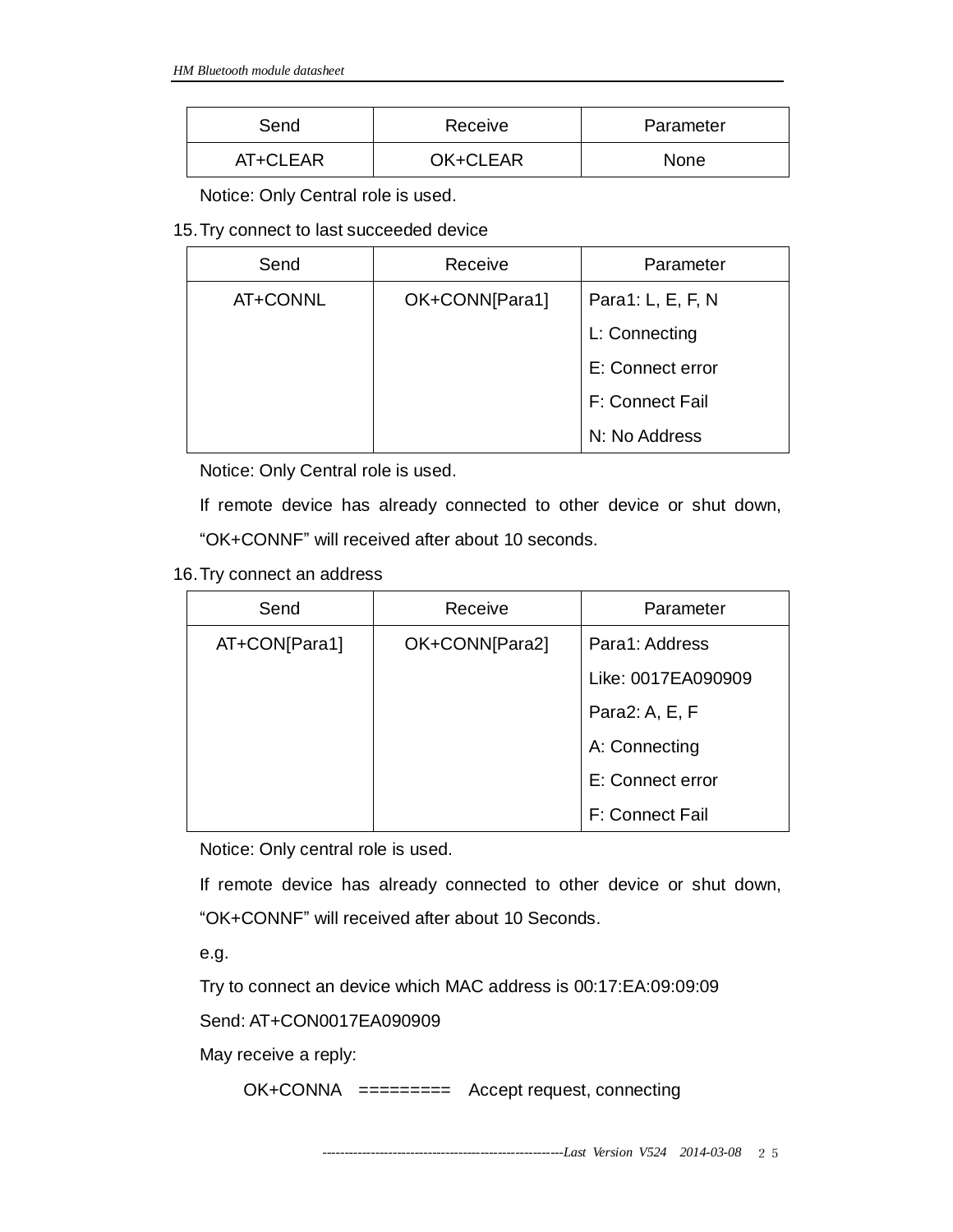| Send     | Receive  | Parameter |
|----------|----------|-----------|
| AT+CLEAR | OK+CLEAR | None      |

Notice: Only Central role is used.

#### 15.Try connect to last succeeded device

| Send     | Receive        | Parameter         |
|----------|----------------|-------------------|
| AT+CONNL | OK+CONN[Para1] | Para1: L, E, F, N |
|          |                | L: Connecting     |
|          |                | E: Connect error  |
|          |                | F: Connect Fail   |
|          |                | N: No Address     |

Notice: Only Central role is used.

If remote device has already connected to other device or shut down,

"OK+CONNF" will received after about 10 seconds.

# 16.Try connect an address

| Send          | Receive        | Parameter          |
|---------------|----------------|--------------------|
| AT+CON[Para1] | OK+CONN[Para2] | Para1: Address     |
|               |                | Like: 0017EA090909 |
|               |                | Para2: A, E, F     |
|               |                | A: Connecting      |
|               |                | E: Connect error   |
|               |                | F: Connect Fail    |

Notice: Only central role is used.

If remote device has already connected to other device or shut down, "OK+CONNF" will received after about 10 Seconds.

e.g.

Try to connect an device which MAC address is 00:17:EA:09:09:09

Send: AT+CON0017EA090909

May receive a reply:

OK+CONNA ========= Accept request, connecting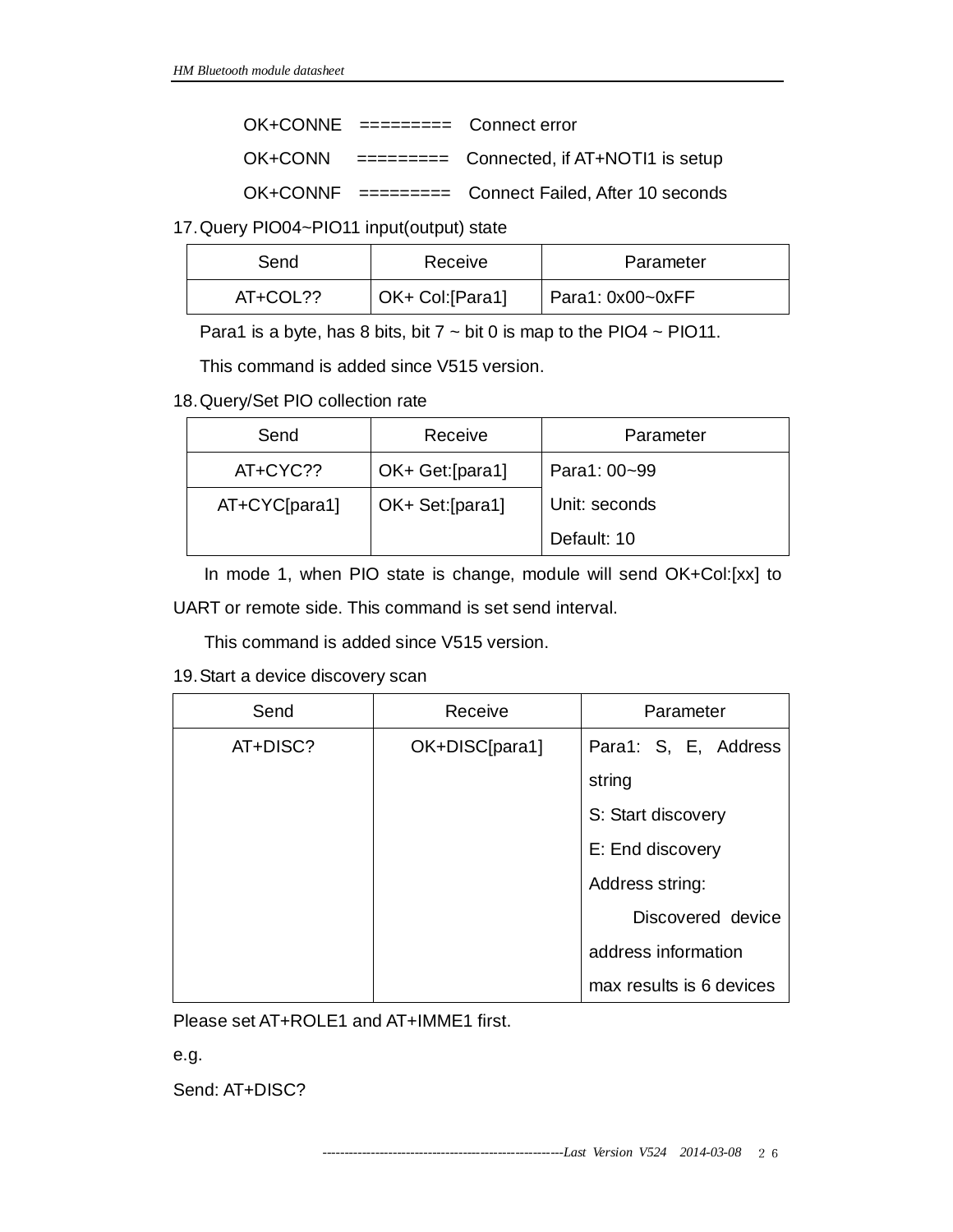|  | $OK+CONNE$ ========= Connect error                                       |
|--|--------------------------------------------------------------------------|
|  | $OK+CONN$ $=$ $=$ $=$ $=$ $=$ $=$ $=$ $Connected$ , if $AT+NOT$ is setup |
|  |                                                                          |

17.Query PIO04~PIO11 input(output) state

| Send     | Receive          | Parameter        |
|----------|------------------|------------------|
| AT+COL?? | OK+ Col: [Para1] | Para1: 0x00~0xFF |

Para1 is a byte, has 8 bits, bit  $7 \sim$  bit 0 is map to the PIO4  $\sim$  PIO11.

This command is added since V515 version.

18.Query/Set PIO collection rate

| Send          | Receive          | Parameter     |
|---------------|------------------|---------------|
| AT+CYC??      | OK+ Get:[para1]  | Para1: 00~99  |
| AT+CYC[para1] | OK+ Set: [para1] | Unit: seconds |
|               |                  | Default: 10   |

In mode 1, when PIO state is change, module will send OK+Col:[xx] to

UART or remote side. This command is set send interval.

This command is added since V515 version.

19.Start a device discovery scan

| Send     | Receive        | Parameter                |
|----------|----------------|--------------------------|
| AT+DISC? | OK+DISC[para1] | Para1: S, E, Address     |
|          |                | string                   |
|          |                | S: Start discovery       |
|          |                | E: End discovery         |
|          |                | Address string:          |
|          |                | Discovered device        |
|          |                | address information      |
|          |                | max results is 6 devices |

Please set AT+ROLE1 and AT+IMME1 first.

e.g.

Send: AT+DISC?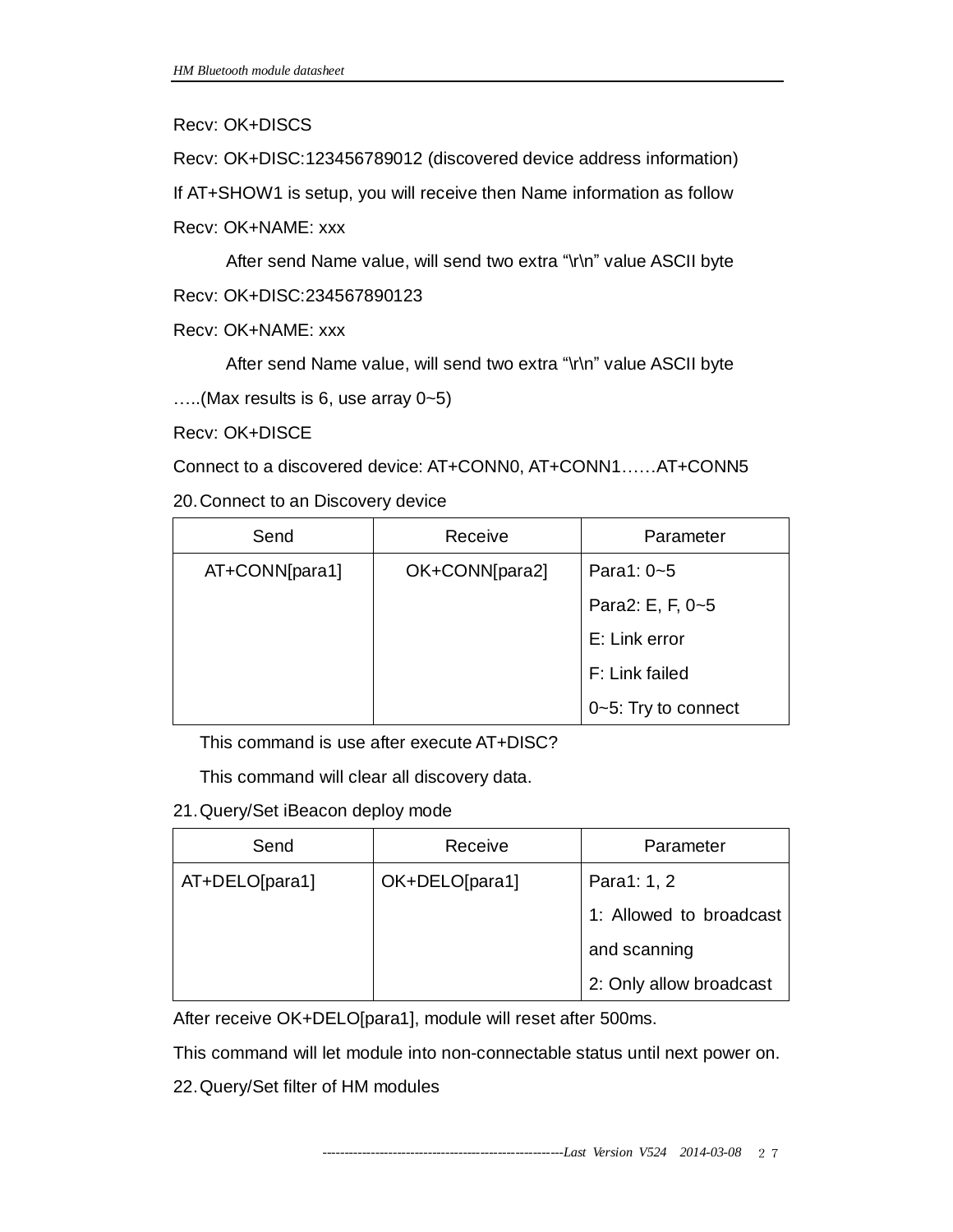Recv: OK+DISCS

Recv: OK+DISC:123456789012 (discovered device address information)

If AT+SHOW1 is setup, you will receive then Name information as follow

Recv: OK+NAME: xxx

After send Name value, will send two extra "\r\n" value ASCII byte Recv: OK+DISC:234567890123

Recv: OK+NAME: xxx

After send Name value, will send two extra "\r\n" value ASCII byte

 $\ldots$ ...(Max results is 6, use array 0~5)

Recv: OK+DISCE

Connect to a discovered device: AT+CONN0, AT+CONN1……AT+CONN5

20.Connect to an Discovery device

| Send           | Receive        | Parameter           |
|----------------|----------------|---------------------|
| AT+CONN[para1] | OK+CONN[para2] | Para1: 0~5          |
|                |                | Para2: E, F, 0~5    |
|                |                | E: Link error       |
|                |                | F: Link failed      |
|                |                | 0~5: Try to connect |

This command is use after execute AT+DISC?

This command will clear all discovery data.

21.Query/Set iBeacon deploy mode

| Send           | Receive        | Parameter               |
|----------------|----------------|-------------------------|
| AT+DELO[para1] | OK+DELO[para1] | Para1: 1, 2             |
|                |                | 1: Allowed to broadcast |
|                |                | and scanning            |
|                |                | 2: Only allow broadcast |

After receive OK+DELO[para1], module will reset after 500ms.

This command will let module into non-connectable status until next power on.

22.Query/Set filter of HM modules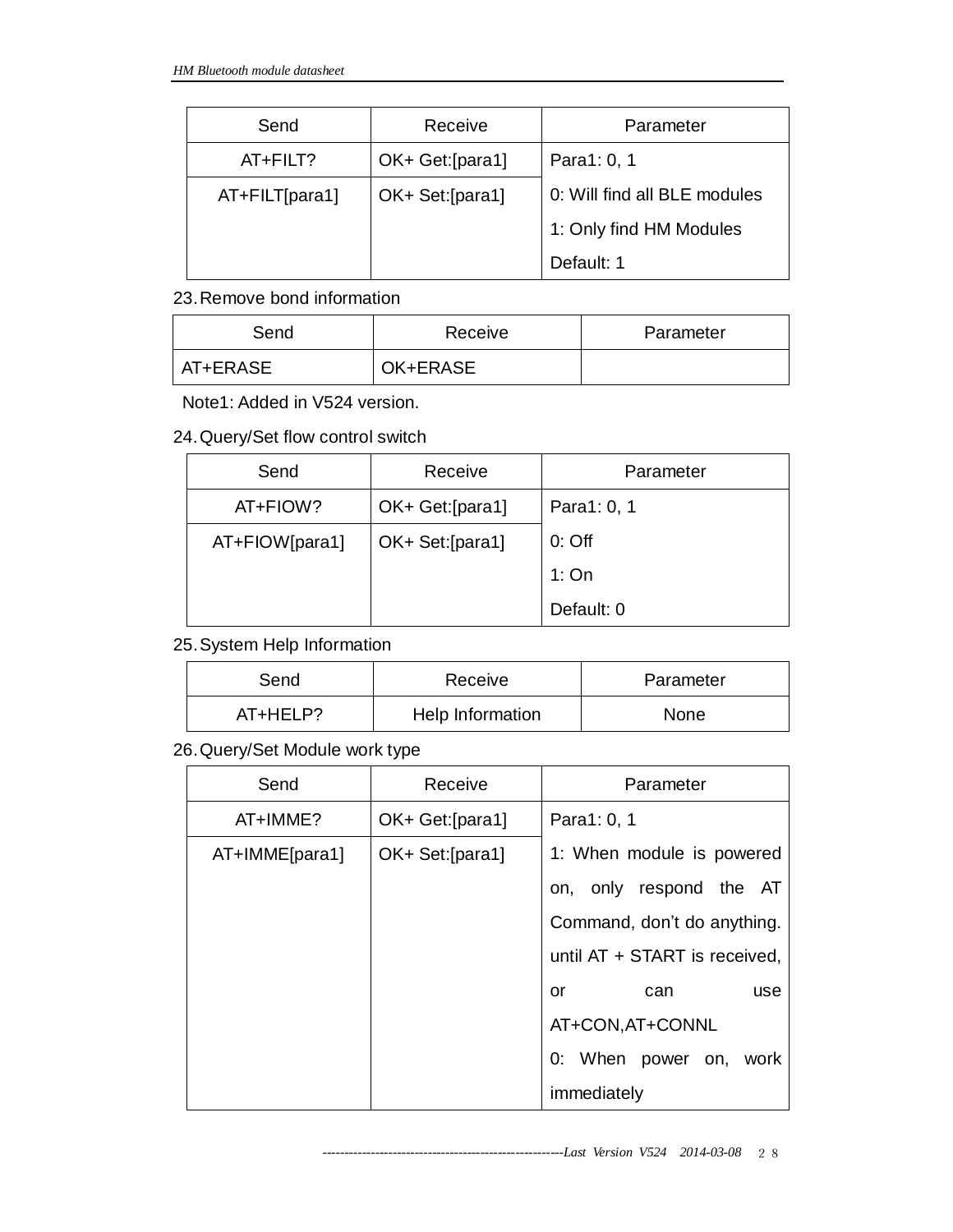| Send           | Receive          | Parameter                    |
|----------------|------------------|------------------------------|
| $AT + FILT?$   | OK+ Get: [para1] | Para1: 0, 1                  |
| AT+FILT[para1] | OK+ Set: [para1] | 0: Will find all BLE modules |
|                |                  | 1: Only find HM Modules      |
|                |                  | Default: 1                   |

# 23.Remove bond information

| Send     | Receive  | Parameter |
|----------|----------|-----------|
| AT+ERASE | OK+ERASE |           |

Note1: Added in V524 version.

# 24.Query/Set flow control switch

| Send           | Receive          | Parameter   |
|----------------|------------------|-------------|
| AT+FIOW?       | OK+ Get:[para1]  | Para1: 0, 1 |
| AT+FIOW[para1] | OK+ Set: [para1] | $0:$ Off    |
|                |                  | 1:On        |
|                |                  | Default: 0  |

# 25.System Help Information

| Send     | Receive          | Parameter   |
|----------|------------------|-------------|
| AT+HELP? | Help Information | <b>None</b> |

# 26.Query/Set Module work type

| Send           | Receive          | Parameter                     |
|----------------|------------------|-------------------------------|
| AT+IMME?       | OK+ Get: [para1] | Para1: 0, 1                   |
| AT+IMME[para1] | OK+ Set: [para1] | 1: When module is powered     |
|                |                  | only respond the AT<br>on,    |
|                |                  | Command, don't do anything.   |
|                |                  | until AT + START is received, |
|                |                  | use<br>or<br>can              |
|                |                  | AT+CON, AT+CONNL              |
|                |                  | 0: When power on,<br>work     |
|                |                  | immediately                   |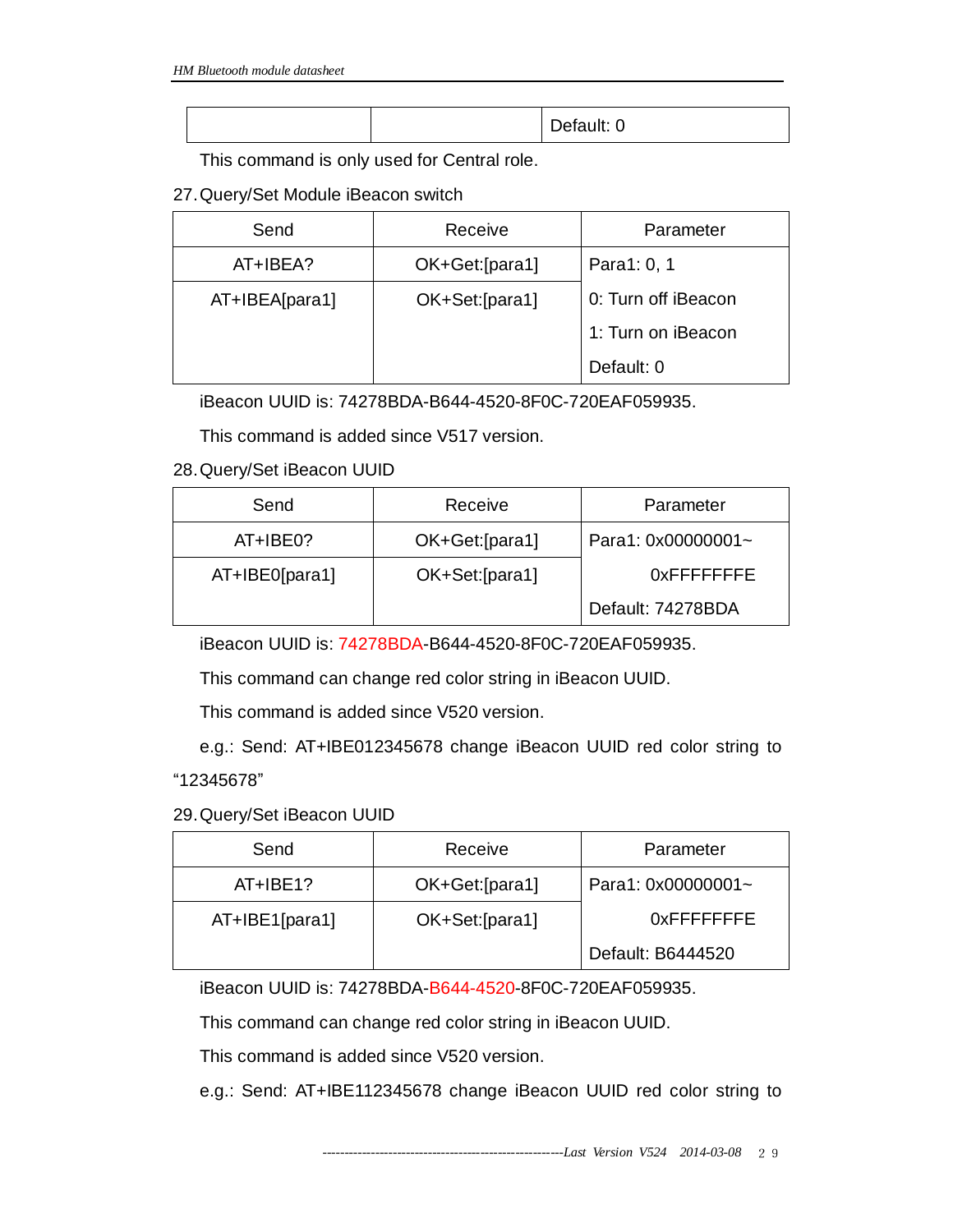|  |  | ⊥lt∙<br>oiuun. v |
|--|--|------------------|
|--|--|------------------|

This command is only used for Central role.

#### 27.Query/Set Module iBeacon switch

| Send           | Receive        | Parameter           |
|----------------|----------------|---------------------|
| $AT+IBEA?$     | OK+Get:[para1] | Para1: 0, 1         |
| AT+IBEA[para1] | OK+Set:[para1] | 0: Turn off iBeacon |
|                |                | 1: Turn on iBeacon  |
|                |                | Default: 0          |

iBeacon UUID is: 74278BDA-B644-4520-8F0C-720EAF059935.

This command is added since V517 version.

#### 28.Query/Set iBeacon UUID

| Send           | Receive        | Parameter          |
|----------------|----------------|--------------------|
| AT+IBE0?       | OK+Get:[para1] | Para1: 0x00000001~ |
| AT+IBE0[para1] | OK+Set:[para1] | $Ox$ FFFFFFFFF     |
|                |                | Default: 74278BDA  |

iBeacon UUID is: 74278BDA-B644-4520-8F0C-720EAF059935.

This command can change red color string in iBeacon UUID.

This command is added since V520 version.

e.g.: Send: AT+IBE012345678 change iBeacon UUID red color string to "12345678"

29.Query/Set iBeacon UUID

| Send              | Receive         | Parameter          |
|-------------------|-----------------|--------------------|
| $AT + IBE1?$      | OK+Get:[para1]  | Para1: 0x00000001~ |
| $AT+IBE1$ [para1] | OK+Set: [para1] | <b>OXFFFFFFFFE</b> |
|                   |                 | Default: B6444520  |

iBeacon UUID is: 74278BDA-B644-4520-8F0C-720EAF059935.

This command can change red color string in iBeacon UUID.

This command is added since V520 version.

e.g.: Send: AT+IBE112345678 change iBeacon UUID red color string to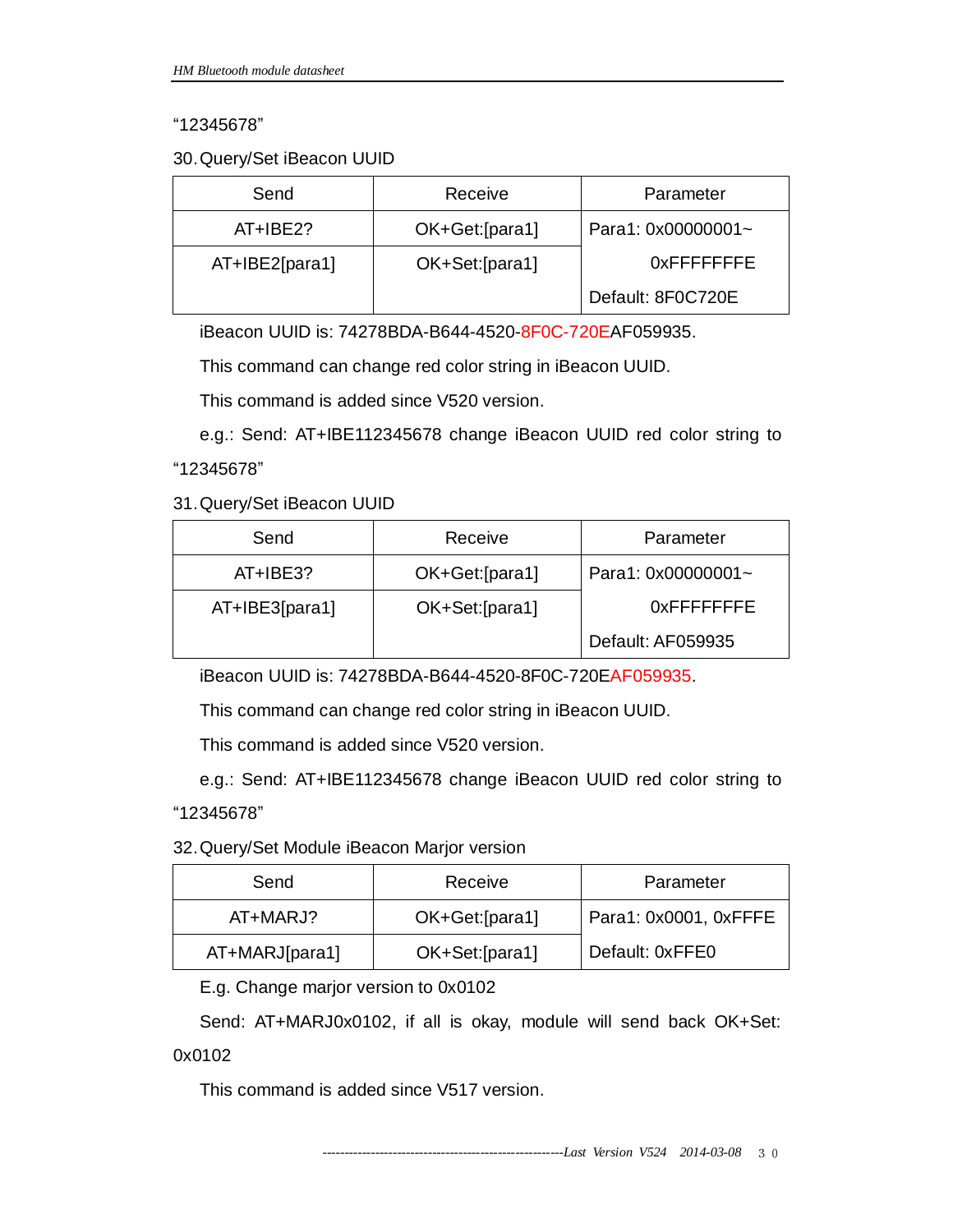#### "12345678"

30.Query/Set iBeacon UUID

| Send           | Receive        | Parameter          |
|----------------|----------------|--------------------|
| $AT+IBE2?$     | OK+Get:[para1] | Para1: 0x00000001~ |
| AT+IBE2[para1] | OK+Set:[para1] | OXFFFFFFFF         |
|                |                | Default: 8F0C720E  |

iBeacon UUID is: 74278BDA-B644-4520-8F0C-720EAF059935.

This command can change red color string in iBeacon UUID.

This command is added since V520 version.

e.g.: Send: AT+IBE112345678 change iBeacon UUID red color string to

### "12345678"

31.Query/Set iBeacon UUID

| Send             | Receive         | Parameter             |
|------------------|-----------------|-----------------------|
| $AT + IBE3?$     | OK+Get:[para1]  | Para1: $0x00000001 -$ |
| $AT+IBE3[para1]$ | OK+Set: [para1] | OXFFFFFFFF            |
|                  |                 | Default: AF059935     |

iBeacon UUID is: 74278BDA-B644-4520-8F0C-720EAF059935.

This command can change red color string in iBeacon UUID.

This command is added since V520 version.

e.g.: Send: AT+IBE112345678 change iBeacon UUID red color string to "12345678"

32.Query/Set Module iBeacon Marjor version

| Send           | Receive        | Parameter             |
|----------------|----------------|-----------------------|
| AT+MARJ?       | OK+Get:[para1] | Para1: 0x0001, 0xFFFE |
| AT+MARJ[para1] | OK+Set:[para1] | Default: 0xFFE0       |

E.g. Change marjor version to 0x0102

Send: AT+MARJ0x0102, if all is okay, module will send back OK+Set:

0x0102

This command is added since V517 version.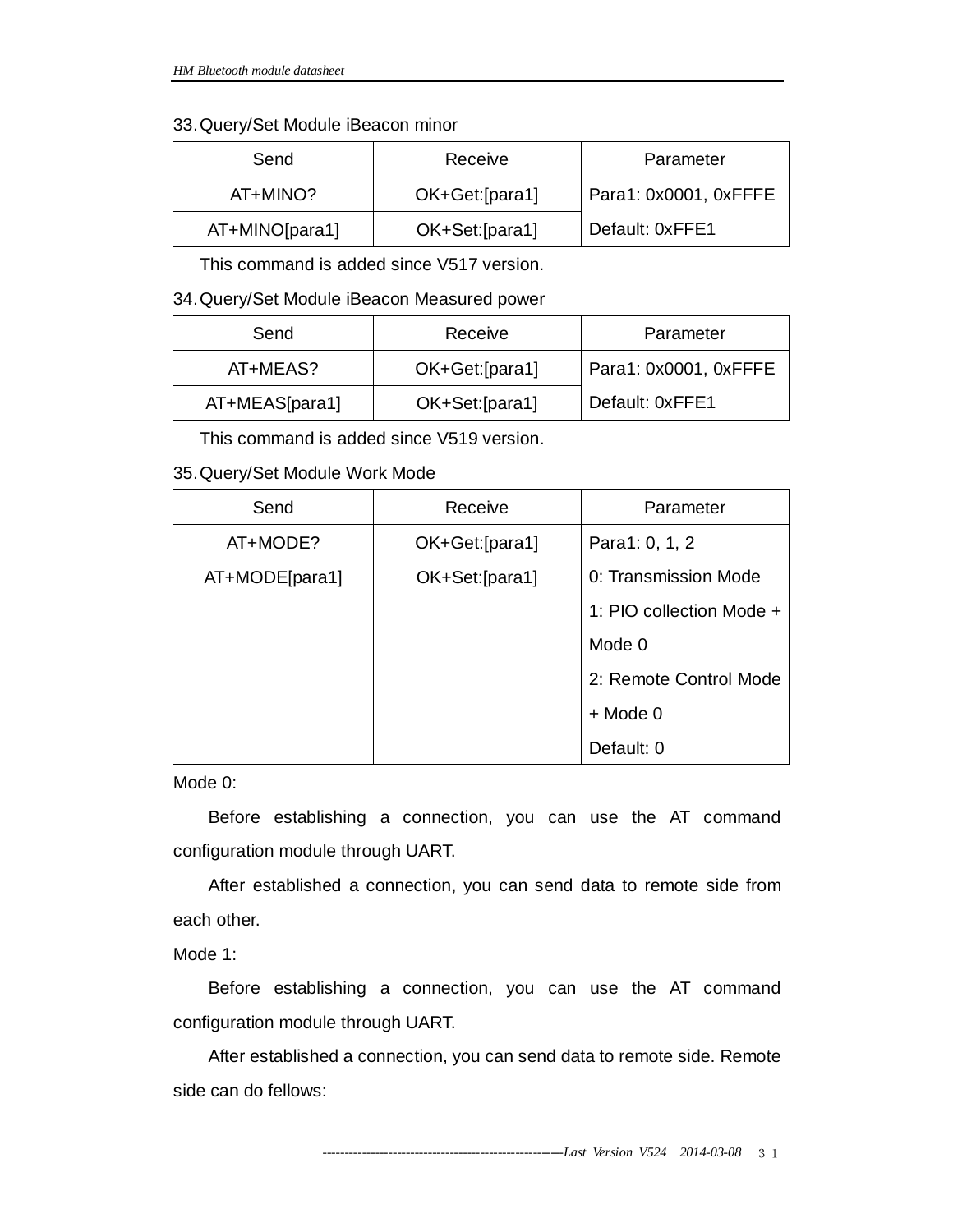#### 33.Query/Set Module iBeacon minor

| Send           | Receive        | Parameter             |
|----------------|----------------|-----------------------|
| AT+MINO?       | OK+Get:[para1] | Para1: 0x0001, 0xFFFE |
| AT+MINO[para1] | OK+Set:[para1] | Default: 0xFFE1       |

This command is added since V517 version.

34.Query/Set Module iBeacon Measured power

| Send           | Receive         | Parameter             |
|----------------|-----------------|-----------------------|
| AT+MEAS?       | OK+Get:[para1]  | Para1: 0x0001, 0xFFFE |
| AT+MEAS[para1] | OK+Set: [para1] | Default: 0xFFE1       |

This command is added since V519 version.

#### 35.Query/Set Module Work Mode

| Send           | Receive        | Parameter                |
|----------------|----------------|--------------------------|
| AT+MODE?       | OK+Get:[para1] | Para1: 0, 1, 2           |
| AT+MODE[para1] | OK+Set:[para1] | 0: Transmission Mode     |
|                |                | 1: PIO collection Mode + |
|                |                | Mode 0                   |
|                |                | 2: Remote Control Mode   |
|                |                | $+$ Mode 0               |
|                |                | Default: 0               |

Mode 0:

Before establishing a connection, you can use the AT command configuration module through UART.

After established a connection, you can send data to remote side from each other.

Mode 1:

Before establishing a connection, you can use the AT command configuration module through UART.

After established a connection, you can send data to remote side. Remote side can do fellows: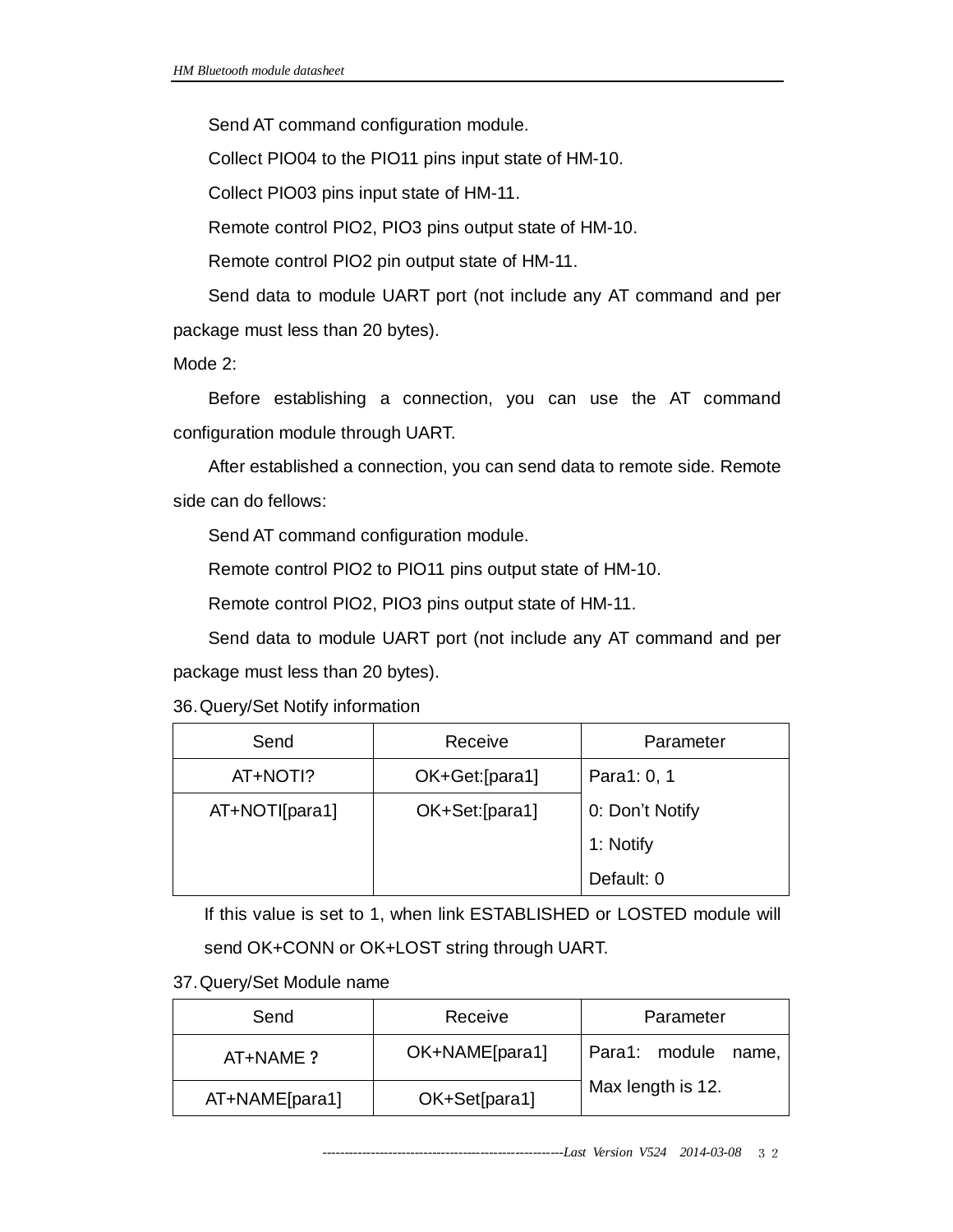Send AT command configuration module.

Collect PIO04 to the PIO11 pins input state of HM-10.

Collect PIO03 pins input state of HM-11.

Remote control PIO2, PIO3 pins output state of HM-10.

Remote control PIO2 pin output state of HM-11.

Send data to module UART port (not include any AT command and per package must less than 20 bytes).

Mode 2:

Before establishing a connection, you can use the AT command configuration module through UART.

After established a connection, you can send data to remote side. Remote side can do fellows:

Send AT command configuration module.

Remote control PIO2 to PIO11 pins output state of HM-10.

Remote control PIO2, PIO3 pins output state of HM-11.

Send data to module UART port (not include any AT command and per package must less than 20 bytes).

36.Query/Set Notify information

| Send           | Receive        | Parameter       |
|----------------|----------------|-----------------|
| AT+NOTI?       | OK+Get:[para1] | Para1: 0, 1     |
| AT+NOTI[para1] | OK+Set:[para1] | 0: Don't Notify |
|                |                | 1: Notify       |
|                |                | Default: 0      |

If this value is set to 1, when link ESTABLISHED or LOSTED module will send OK+CONN or OK+LOST string through UART.

37.Query/Set Module name

| Send           | Receive        | Parameter           |
|----------------|----------------|---------------------|
| AT+NAME ?      | OK+NAME[para1] | Para1: module name, |
| AT+NAME[para1] | OK+Set[para1]  | Max length is 12.   |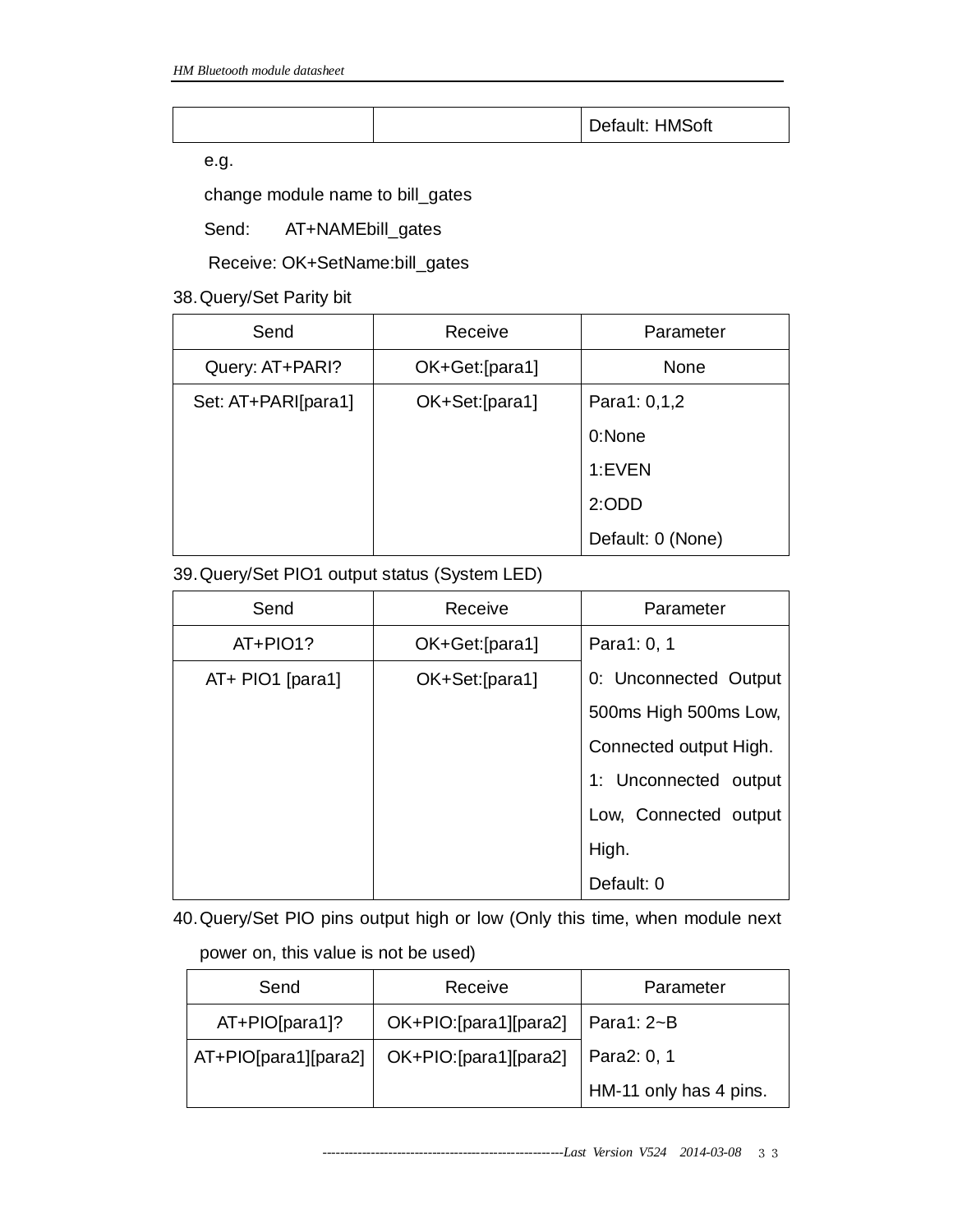|  | Default: HMSoft<br>Default: H. |
|--|--------------------------------|
|--|--------------------------------|

e.g.

change module name to bill\_gates

Send: AT+NAMEbill\_gates

Receive: OK+SetName:bill\_gates

38.Query/Set Parity bit

| Send                | Receive        | Parameter         |
|---------------------|----------------|-------------------|
| Query: AT+PARI?     | OK+Get:[para1] | None              |
| Set: AT+PARI[para1] | OK+Set:[para1] | Para1: 0,1,2      |
|                     |                | 0:None            |
|                     |                | 1:EVEN            |
|                     |                | 2:ODD             |
|                     |                | Default: 0 (None) |

39.Query/Set PIO1 output status (System LED)

| Send               | Receive         | Parameter              |
|--------------------|-----------------|------------------------|
| $AT + PIO1?$       | OK+Get:[para1]  | Para1: 0, 1            |
| $AT+$ PIO1 [para1] | OK+Set: [para1] | 0: Unconnected Output  |
|                    |                 | 500ms High 500ms Low,  |
|                    |                 | Connected output High. |
|                    |                 | 1: Unconnected output  |
|                    |                 | Low, Connected output  |
|                    |                 | High.                  |
|                    |                 | Default: 0             |

40.Query/Set PIO pins output high or low (Only this time, when module next

## power on, this value is not be used)

| Send                   | Receive                 | Parameter              |
|------------------------|-------------------------|------------------------|
| $AT+PIO[para1]$ ?      | $OK+PIO:[para1][para2]$ | $\vert$ Para1: 2~B     |
| $AT+PIO[para1][para2]$ | OK+PIO:[para1][para2]   | Para2: 0, 1            |
|                        |                         | HM-11 only has 4 pins. |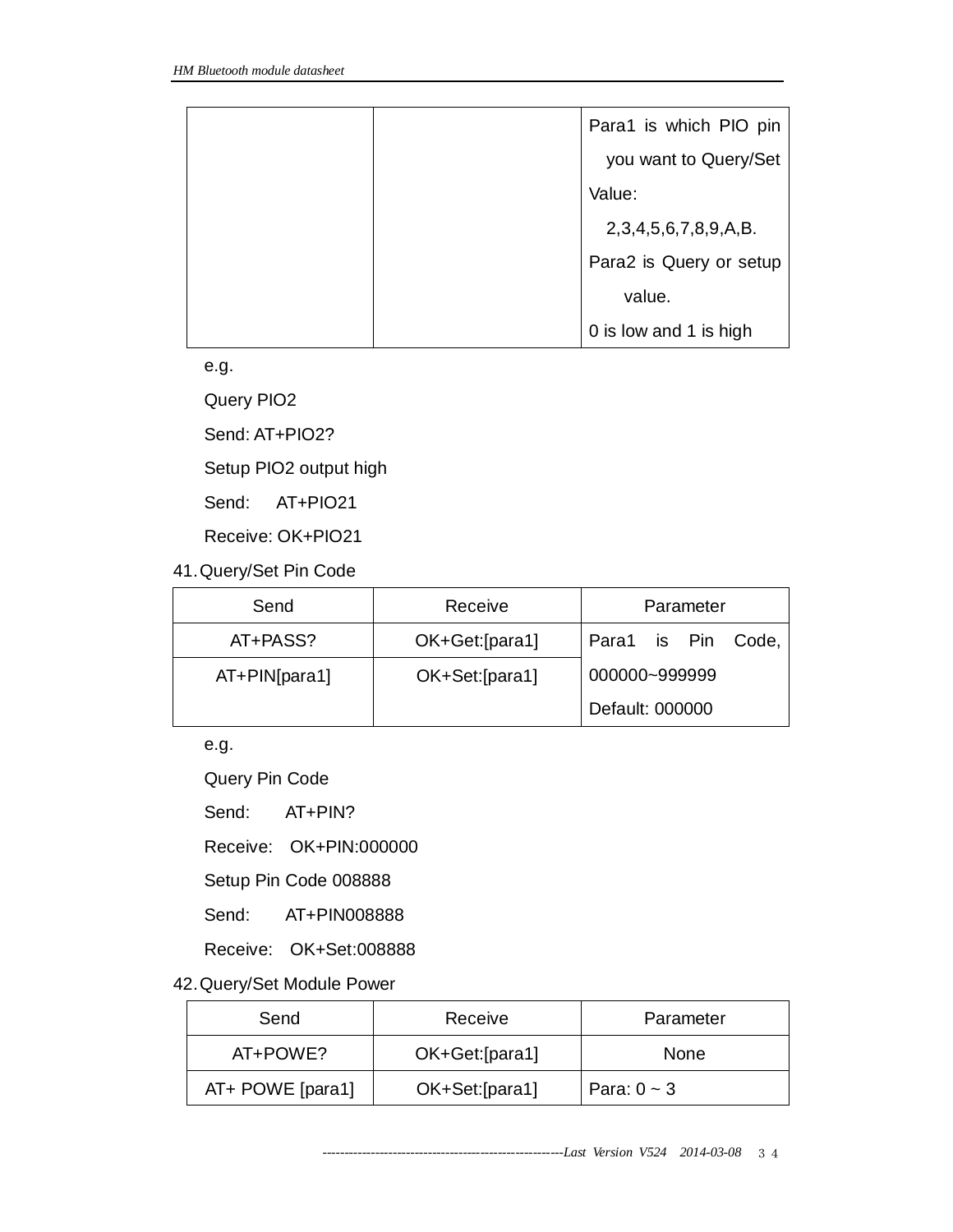| Para1 is which PIO pin  |
|-------------------------|
| you want to Query/Set   |
| Value:                  |
| 2,3,4,5,6,7,8,9,A,B.    |
| Para2 is Query or setup |
| value.                  |
| 0 is low and 1 is high  |

e.g.

Query PIO2

Send: AT+PIO2?

Setup PIO2 output high

Send: AT+PIO21

Receive: OK+PIO21

41.Query/Set Pin Code

| Send              | Receive        | Parameter          |
|-------------------|----------------|--------------------|
| AT+PASS?          | OK+Get:[para1] | Para1 is Pin Code, |
| $AT + PIN[para1]$ | OK+Set:[para1] | 000000~999999      |
|                   |                | Default: 000000    |

e.g.

Query Pin Code

Send: AT+PIN?

Receive: OK+PIN:000000

Setup Pin Code 008888

Send: AT+PIN008888

Receive: OK+Set:008888

42.Query/Set Module Power

| Send             | Receive         | Parameter        |
|------------------|-----------------|------------------|
| AT+POWE?         | OK+Get: [para1] | <b>None</b>      |
| AT+ POWE [para1] | OK+Set:[para1]  | Para: $0 \sim 3$ |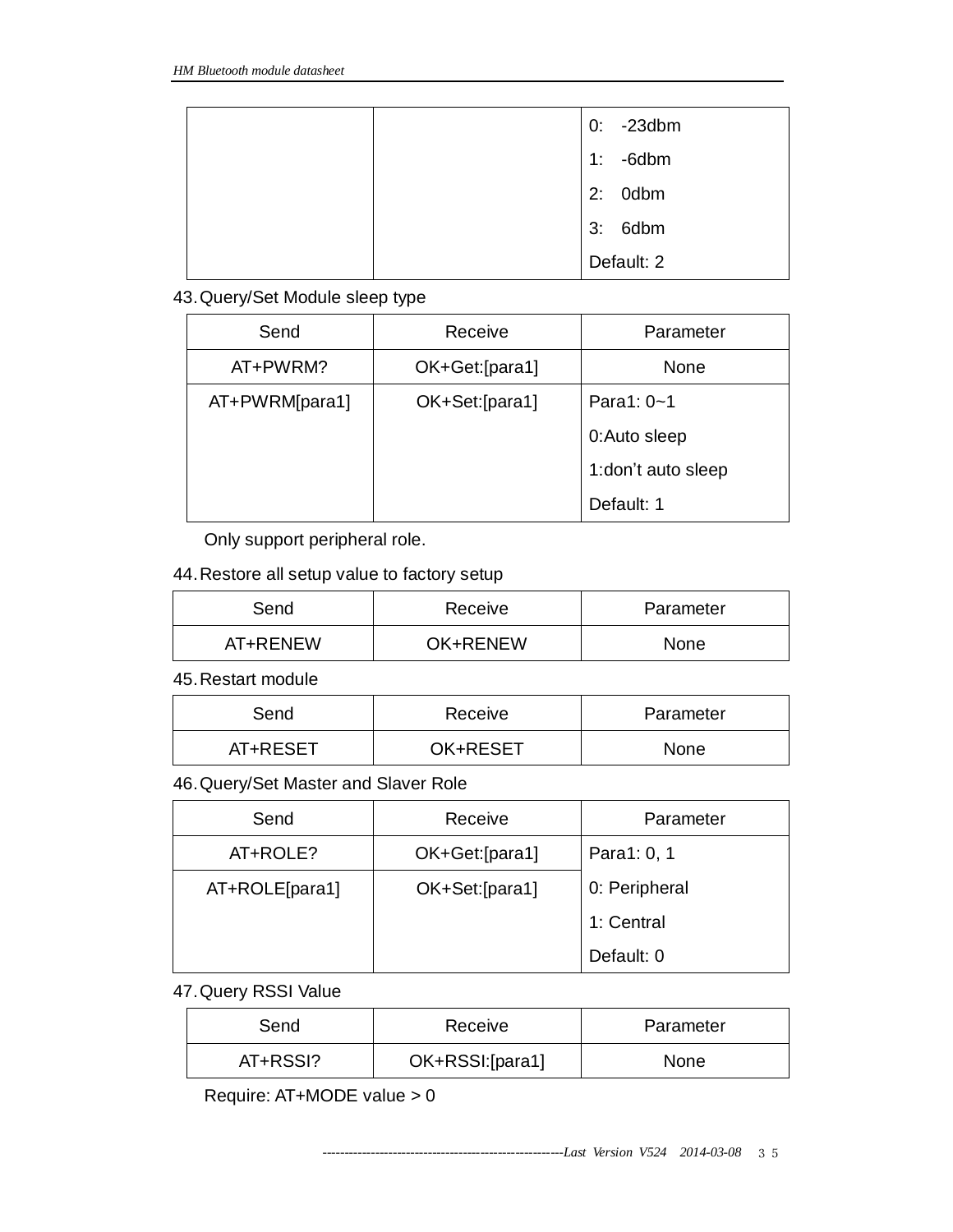|  | $0: -23$ dbm |
|--|--------------|
|  | $1: -6$ dbm  |
|  | $2:0$ dbm    |
|  | 3: 6dbm      |
|  | Default: 2   |

## 43.Query/Set Module sleep type

| Send           | Receive        | Parameter          |
|----------------|----------------|--------------------|
| AT+PWRM?       | OK+Get:[para1] | None               |
| AT+PWRM[para1] | OK+Set:[para1] | Para1: $0 - 1$     |
|                |                | 0:Auto sleep       |
|                |                | 1:don't auto sleep |
|                |                | Default: 1         |

Only support peripheral role.

44.Restore all setup value to factory setup

| Send     | Receive  | Parameter |
|----------|----------|-----------|
| AT+RENEW | OK+RENEW | None      |

45.Restart module

| Send     | Receive  | Parameter   |
|----------|----------|-------------|
| AT+RESET | OK+RESET | <b>None</b> |

46.Query/Set Master and Slaver Role

| Send           | Receive        | Parameter     |
|----------------|----------------|---------------|
| AT+ROLE?       | OK+Get:[para1] | Para1: 0, 1   |
| AT+ROLE[para1] | OK+Set:[para1] | 0: Peripheral |
|                |                | 1: Central    |
|                |                | Default: 0    |

#### 47.Query RSSI Value

| Send     | Receive         | Parameter   |
|----------|-----------------|-------------|
| AT+RSSI? | OK+RSSI:[para1] | <b>None</b> |

Require: AT+MODE value > 0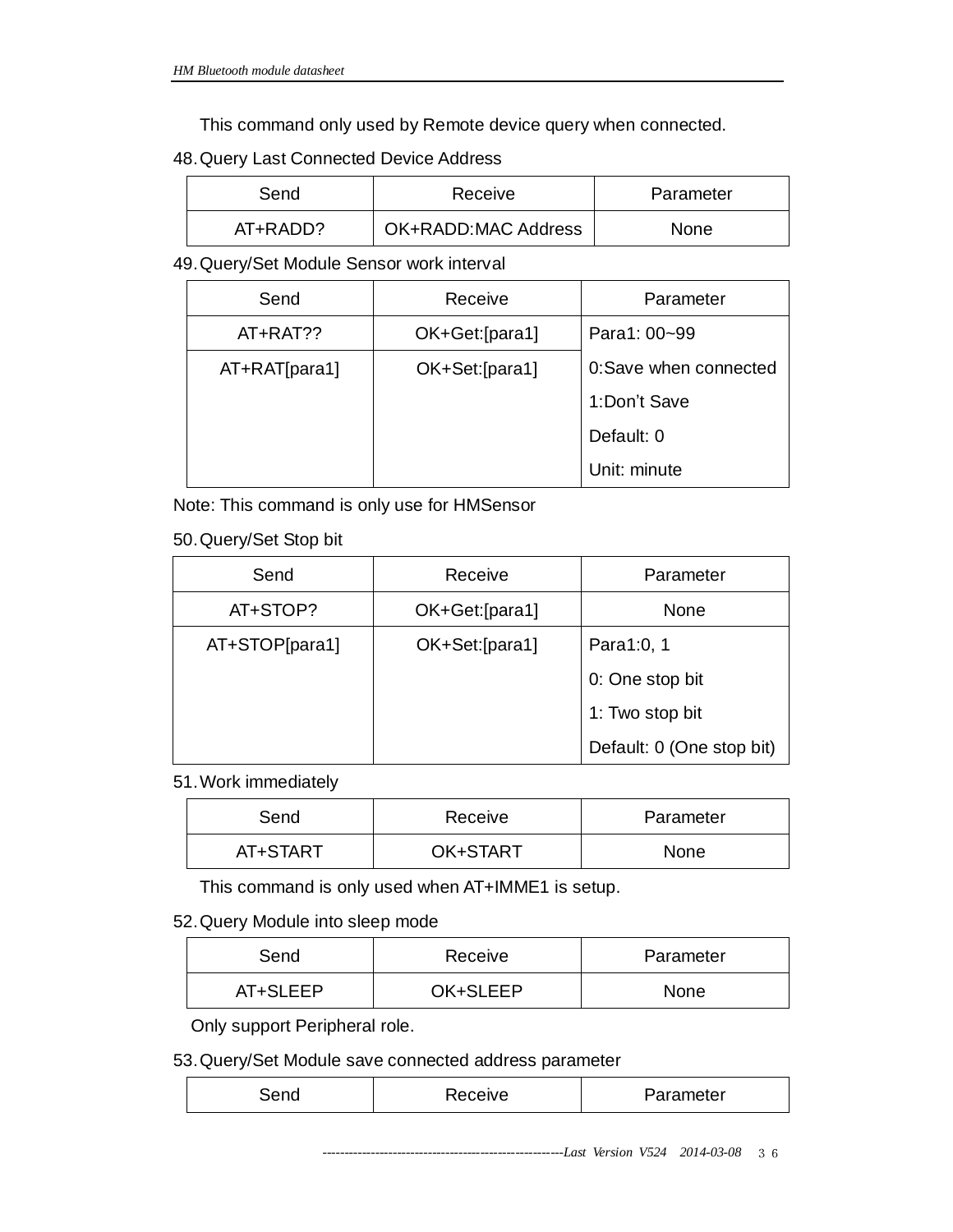This command only used by Remote device query when connected.

#### 48.Query Last Connected Device Address

| Send     | Receive             | Parameter   |
|----------|---------------------|-------------|
| AT+RADD? | OK+RADD:MAC Address | <b>None</b> |

49.Query/Set Module Sensor work interval

| Send            | Receive         | Parameter             |
|-----------------|-----------------|-----------------------|
| AT+RAT??        | OK+Get:[para1]  | Para1: 00~99          |
| $AT+RAT[para1]$ | OK+Set: [para1] | 0:Save when connected |
|                 |                 | 1:Don't Save          |
|                 |                 | Default: 0            |
|                 |                 | Unit: minute          |

Note: This command is only use for HMSensor

50.Query/Set Stop bit

| Send           | Receive         | Parameter                 |
|----------------|-----------------|---------------------------|
| AT+STOP?       | OK+Get:[para1]  | None                      |
| AT+STOP[para1] | OK+Set: [para1] | Para1:0, 1                |
|                |                 | 0: One stop bit           |
|                |                 | 1: Two stop bit           |
|                |                 | Default: 0 (One stop bit) |

#### 51.Work immediately

| Send     | Receive  | Parameter |
|----------|----------|-----------|
| AT+START | OK+START | None      |

This command is only used when AT+IMME1 is setup.

52.Query Module into sleep mode

| Send     | Receive  | Parameter   |
|----------|----------|-------------|
| AT+SLEEP | OK+SLEEP | <b>None</b> |

Only support Peripheral role.

#### 53.Query/Set Module save connected address parameter

| . | eceive? | ırameter<br>яван |
|---|---------|------------------|
|   |         |                  |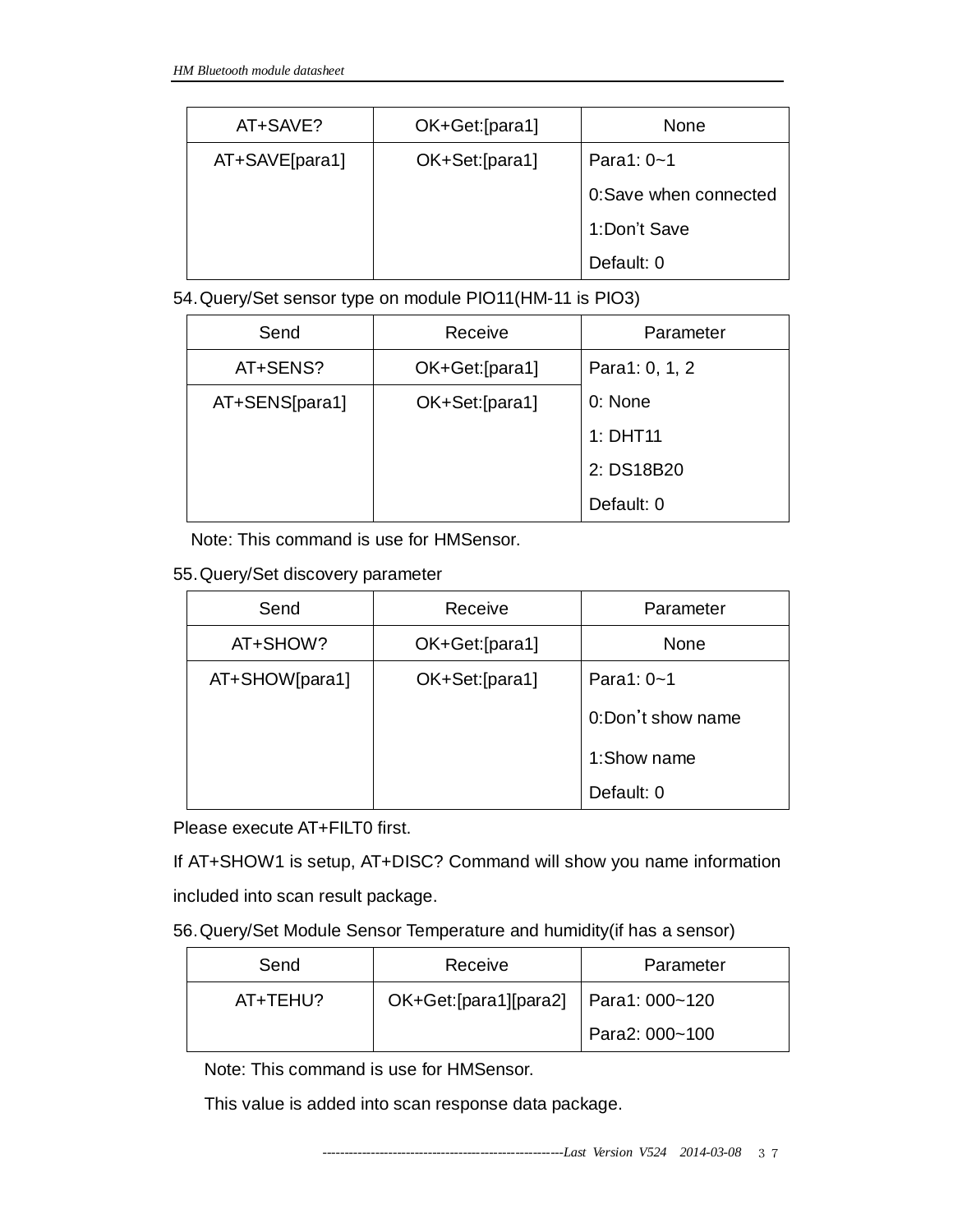| AT+SAVE?       | OK+Get:[para1] | <b>None</b>           |
|----------------|----------------|-----------------------|
| AT+SAVE[para1] | OK+Set:[para1] | Para1: $0 - 1$        |
|                |                | 0:Save when connected |
|                |                | 1:Don't Save          |
|                |                | Default: 0            |

54.Query/Set sensor type on module PIO11(HM-11 is PIO3)

| Send           | Receive        | Parameter      |
|----------------|----------------|----------------|
| AT+SENS?       | OK+Get:[para1] | Para1: 0, 1, 2 |
| AT+SENS[para1] | OK+Set:[para1] | 0: None        |
|                |                | 1: DHT11       |
|                |                | 2: DS18B20     |
|                |                | Default: 0     |

Note: This command is use for HMSensor.

55.Query/Set discovery parameter

| Send           | Receive        | Parameter         |
|----------------|----------------|-------------------|
| AT+SHOW?       | OK+Get:[para1] | None              |
| AT+SHOW[para1] | OK+Set:[para1] | Para1: 0~1        |
|                |                | 0:Don't show name |
|                |                | 1:Show name       |
|                |                | Default: 0        |

Please execute AT+FILT0 first.

If AT+SHOW1 is setup, AT+DISC? Command will show you name information included into scan result package.

56.Query/Set Module Sensor Temperature and humidity(if has a sensor)

| Send     | Receive                                | Parameter      |
|----------|----------------------------------------|----------------|
| AT+TEHU? | OK+Get:[para1][para2]   Para1: 000~120 |                |
|          |                                        | Para2: 000~100 |

Note: This command is use for HMSensor.

This value is added into scan response data package.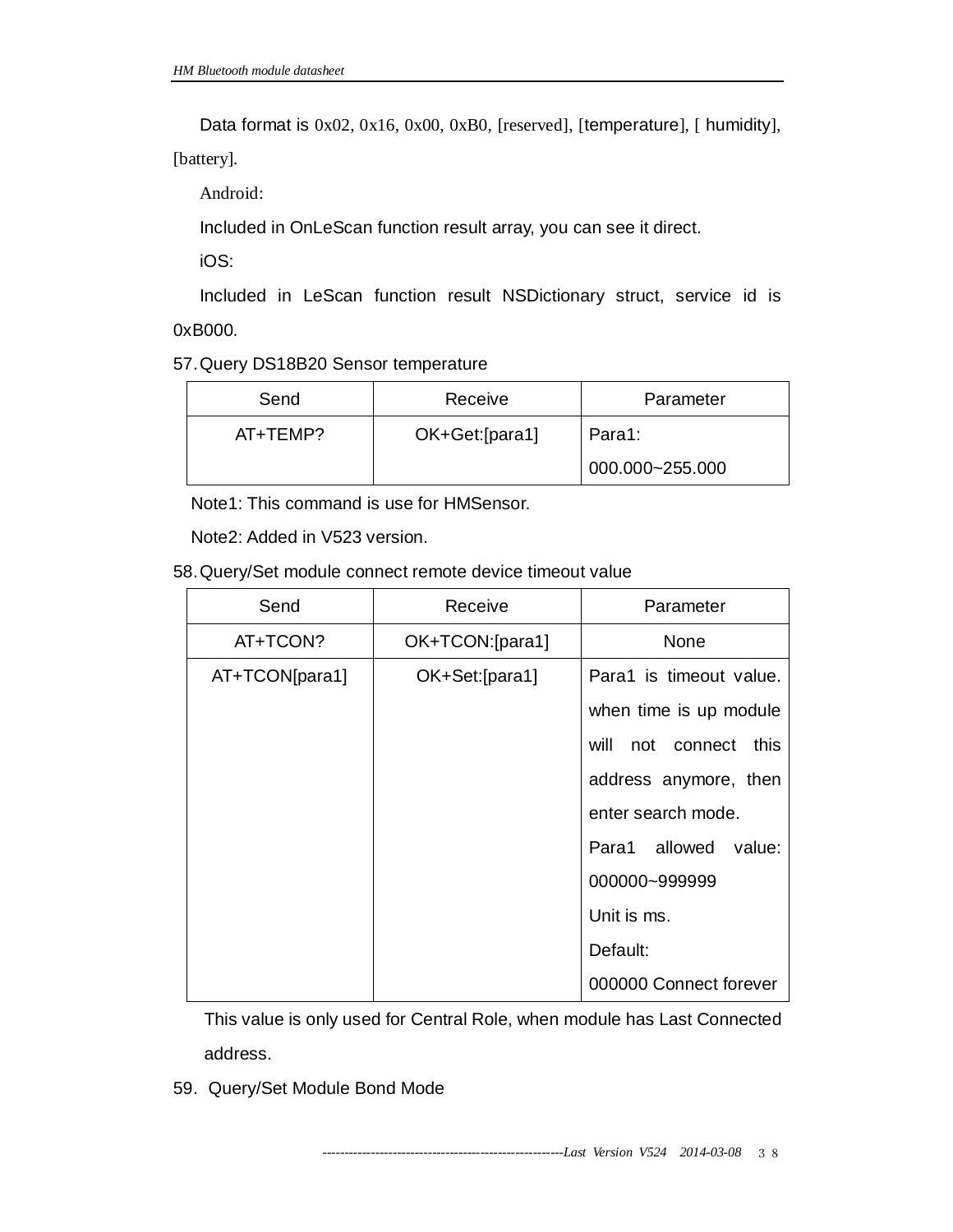Data format is  $0x02$ ,  $0x16$ ,  $0x00$ ,  $0xB0$ , [reserved], [temperature], [ humidity],

[battery].

Android:

Included in OnLeScan function result array, you can see it direct.

iOS:

Included in LeScan function result NSDictionary struct, service id is 0xB000.

57.Query DS18B20 Sensor temperature

| Send     | Receive        | Parameter           |
|----------|----------------|---------------------|
| AT+TFMP? | OK+Get:[para1] | Para1:              |
|          |                | $000.000 - 255.000$ |

Note1: This command is use for HMSensor.

Note2: Added in V523 version.

58.Query/Set module connect remote device timeout value

| Send           | Receive         | Parameter                |
|----------------|-----------------|--------------------------|
| AT+TCON?       | OK+TCON:[para1] | None                     |
| AT+TCON[para1] | OK+Set:[para1]  | Para1 is timeout value.  |
|                |                 | when time is up module   |
|                |                 | will<br>not connect this |
|                |                 | address anymore, then    |
|                |                 | enter search mode.       |
|                |                 | Para1 allowed<br>value:  |
|                |                 | 000000~999999            |
|                |                 | Unit is ms.              |
|                |                 | Default:                 |
|                |                 | 000000 Connect forever   |

This value is only used for Central Role, when module has Last Connected address.

59. Query/Set Module Bond Mode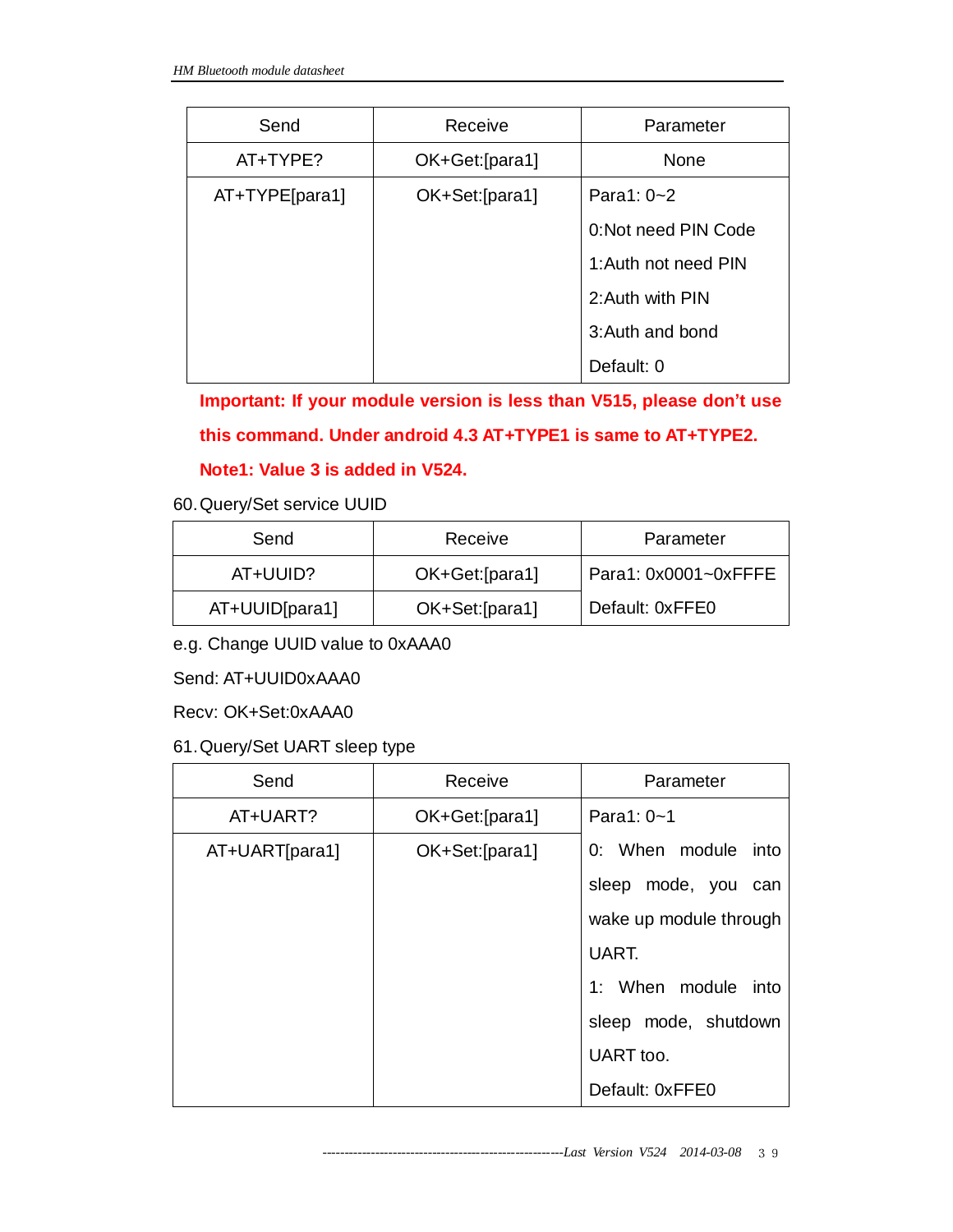| Send           | Receive         | Parameter            |
|----------------|-----------------|----------------------|
| AT+TYPE?       | OK+Get:[para1]  | None                 |
| AT+TYPE[para1] | OK+Set: [para1] | Para1: 0~2           |
|                |                 | 0:Not need PIN Code  |
|                |                 | 1: Auth not need PIN |
|                |                 | 2: Auth with PIN     |
|                |                 | 3: Auth and bond     |
|                |                 | Default: 0           |

**Important: If your module version is less than V515, please don't use this command. Under android 4.3 AT+TYPE1 is same to AT+TYPE2.** 

**Note1: Value 3 is added in V524.**

60.Query/Set service UUID

| Send           | Receive         | Parameter            |
|----------------|-----------------|----------------------|
| AT+UUID?       | OK+Get:[para1]  | Para1: 0x0001~0xFFFE |
| AT+UUID[para1] | OK+Set: [para1] | Default: 0xFFE0      |

e.g. Change UUID value to 0xAAA0

Send: AT+UUID0xAAA0

Recv: OK+Set:0xAAA0

61.Query/Set UART sleep type

| Send           | Receive        | Parameter              |
|----------------|----------------|------------------------|
| AT+UART?       | OK+Get:[para1] | Para1: $0 - 1$         |
| AT+UART[para1] | OK+Set:[para1] | 0: When module into    |
|                |                | sleep mode, you<br>can |
|                |                | wake up module through |
|                |                | UART.                  |
|                |                | 1: When module<br>into |
|                |                | sleep mode, shutdown   |
|                |                | UART too.              |
|                |                | Default: 0xFFE0        |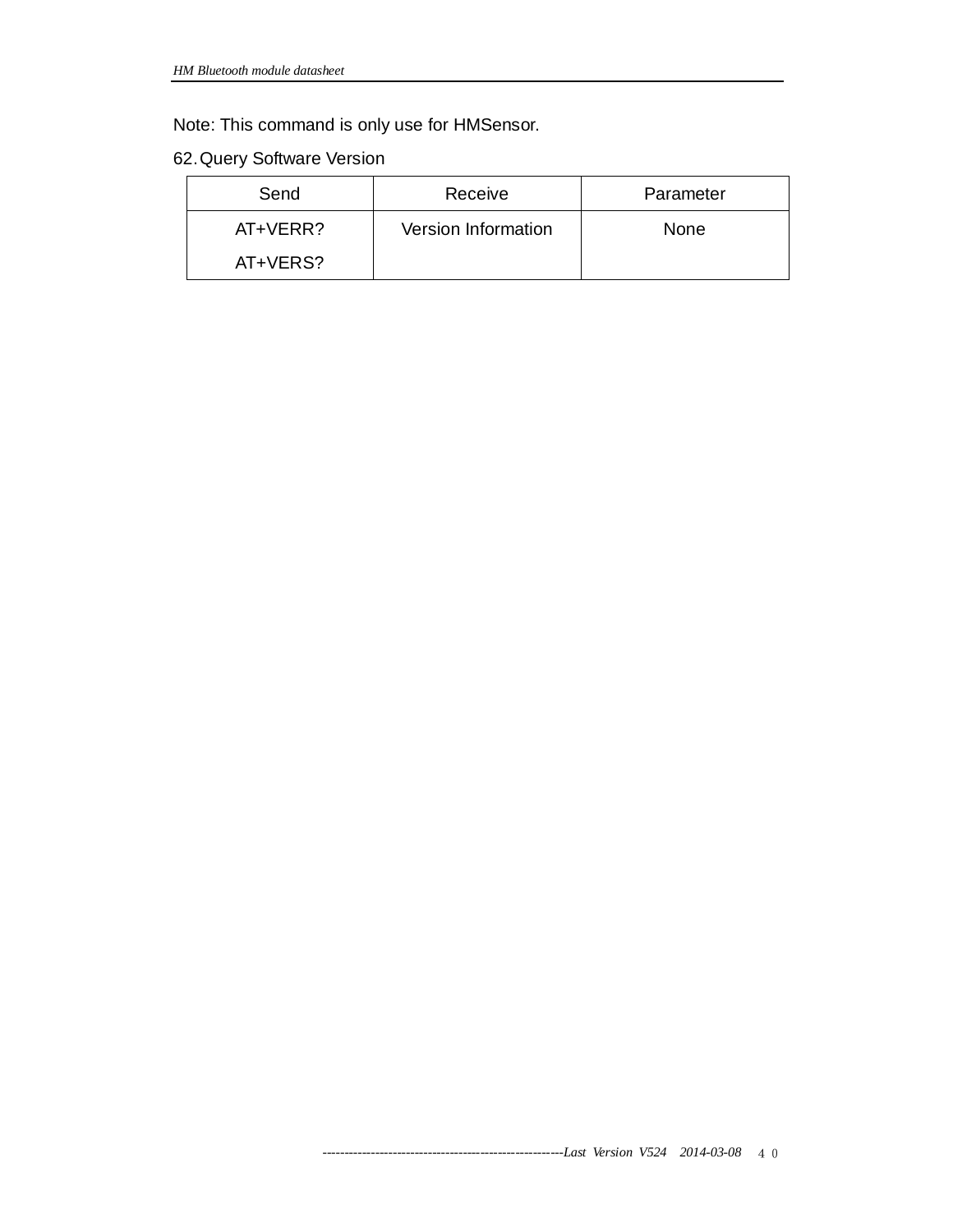Note: This command is only use for HMSensor.

# 62.Query Software Version

| Send     | Receive             | Parameter   |
|----------|---------------------|-------------|
| AT+VERR? | Version Information | <b>None</b> |
| AT+VERS? |                     |             |